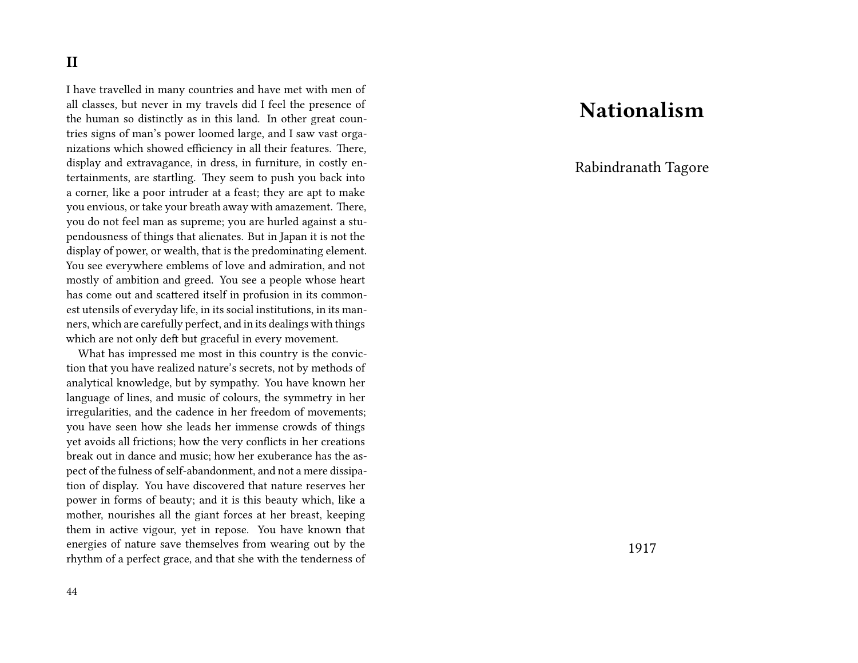### **II**

I have travelled in many countries and have met with men of all classes, but never in my travels did I feel the presence of the human so distinctly as in this land. In other great countries signs of man's power loomed large, and I saw vast organizations which showed efficiency in all their features. There, display and extravagance, in dress, in furniture, in costly entertainments, are startling. They seem to push you back into a corner, like a poor intruder at a feast; they are apt to make you envious, or take your breath away with amazement. There, you do not feel man as supreme; you are hurled against a stupendousness of things that alienates. But in Japan it is not the display of power, or wealth, that is the predominating element. You see everywhere emblems of love and admiration, and not mostly of ambition and greed. You see a people whose heart has come out and scattered itself in profusion in its commonest utensils of everyday life, in its social institutions, in its manners, which are carefully perfect, and in its dealings with things which are not only deft but graceful in every movement.

What has impressed me most in this country is the conviction that you have realized nature's secrets, not by methods of analytical knowledge, but by sympathy. You have known her language of lines, and music of colours, the symmetry in her irregularities, and the cadence in her freedom of movements; you have seen how she leads her immense crowds of things yet avoids all frictions; how the very conflicts in her creations break out in dance and music; how her exuberance has the aspect of the fulness of self-abandonment, and not a mere dissipation of display. You have discovered that nature reserves her power in forms of beauty; and it is this beauty which, like a mother, nourishes all the giant forces at her breast, keeping them in active vigour, yet in repose. You have known that energies of nature save themselves from wearing out by the rhythm of a perfect grace, and that she with the tenderness of

## **Nationalism**

Rabindranath Tagore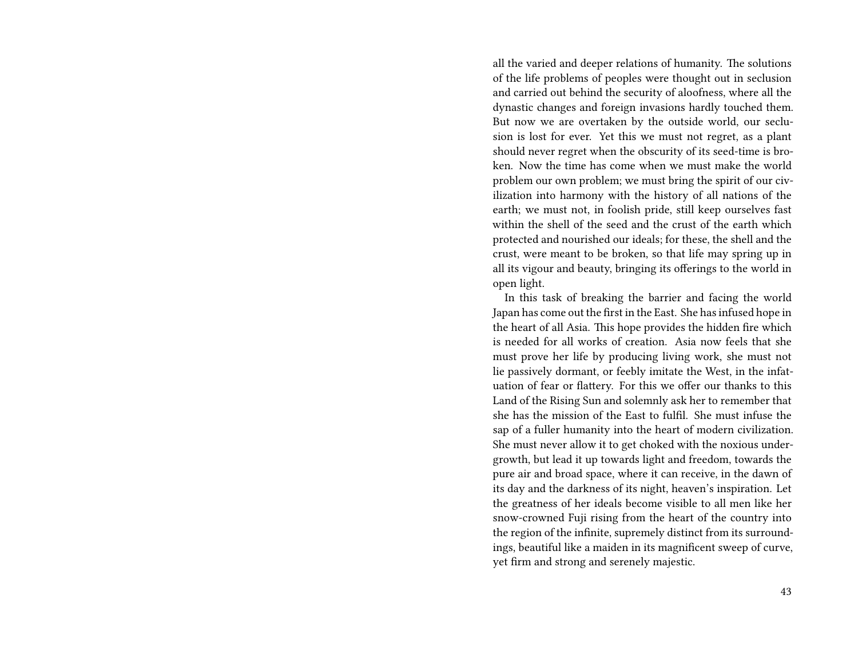all the varied and deeper relations of humanity. The solutions of the life problems of peoples were thought out in seclusion and carried out behind the security of aloofness, where all the dynastic changes and foreign invasions hardly touched them. But now we are overtaken by the outside world, our seclusion is lost for ever. Yet this we must not regret, as a plant should never regret when the obscurity of its seed-time is broken. Now the time has come when we must make the world problem our own problem; we must bring the spirit of our civilization into harmony with the history of all nations of the earth; we must not, in foolish pride, still keep ourselves fast within the shell of the seed and the crust of the earth which protected and nourished our ideals; for these, the shell and the crust, were meant to be broken, so that life may spring up in all its vigour and beauty, bringing its offerings to the world in open light.

In this task of breaking the barrier and facing the world Japan has come out the first in the East. She has infused hope in the heart of all Asia. This hope provides the hidden fire which is needed for all works of creation. Asia now feels that she must prove her life by producing living work, she must not lie passively dormant, or feebly imitate the West, in the infatuation of fear or flattery. For this we offer our thanks to this Land of the Rising Sun and solemnly ask her to remember that she has the mission of the East to fulfil. She must infuse the sap of a fuller humanity into the heart of modern civilization. She must never allow it to get choked with the noxious undergrowth, but lead it up towards light and freedom, towards the pure air and broad space, where it can receive, in the dawn of its day and the darkness of its night, heaven's inspiration. Let the greatness of her ideals become visible to all men like her snow-crowned Fuji rising from the heart of the country into the region of the infinite, supremely distinct from its surroundings, beautiful like a maiden in its magnificent sweep of curve, yet firm and strong and serenely majestic.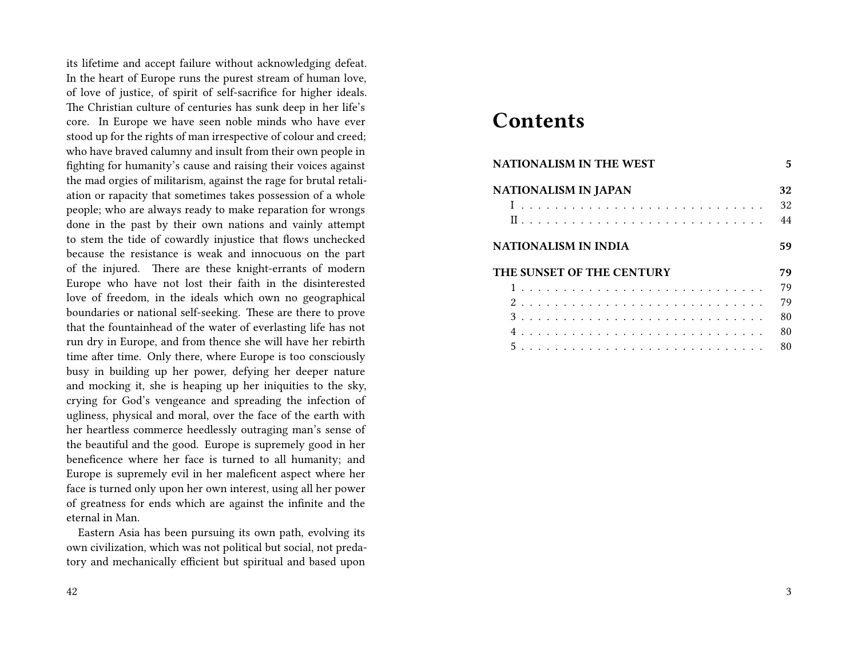its lifetime and accept failure without acknowledging defeat. In the heart of Europe runs the purest stream of human love, of love of justice, of spirit of self-sacrifice for higher ideals. The Christian culture of centuries has sunk deep in her life's core. In Europe we have seen noble minds who have ever stood up for the rights of man irrespective of colour and creed; who have braved calumny and insult from their own people in fighting for humanity's cause and raising their voices against the mad orgies of militarism, against the rage for brutal retaliation or rapacity that sometimes takes possession of a whole people; who are always ready to make reparation for wrongs done in the past by their own nations and vainly attempt to stem the tide of cowardly injustice that flows unchecked because the resistance is weak and innocuous on the part of the injured. There are these knight-errants of modern Europe who have not lost their faith in the disinterested love of freedom, in the ideals which own no geographical boundaries or national self-seeking. These are there to prove that the fountainhead of the water of everlasting life has not run dry in Europe, and from thence she will have her rebirth time after time. Only there, where Europe is too consciously busy in building up her power, defying her deeper nature and mocking it, she is heaping up her iniquities to the sky, crying for God's vengeance and spreading the infection of ugliness, physical and moral, over the face of the earth with her heartless commerce heedlessly outraging man's sense of the beautiful and the good. Europe is supremely good in her beneficence where her face is turned to all humanity; and Europe is supremely evil in her maleficent aspect where her face is turned only upon her own interest, using all her power of greatness for ends which are against the infinite and the eternal in Man.

Eastern Asia has been pursuing its own path, evolving its own civilization, which was not political but social, not predatory and mechanically efficient but spiritual and based upon

## **Contents**

| <b>NATIONALISM IN THE WEST</b> | 5  |
|--------------------------------|----|
| <b>NATIONALISM IN JAPAN</b>    | 32 |
|                                | 32 |
|                                | 44 |
| NATIONALISM IN INDIA           | 59 |
| THE SUNSET OF THE CENTURY      | 79 |
|                                | 79 |
|                                | 79 |
|                                | 80 |
|                                | 80 |
|                                | 80 |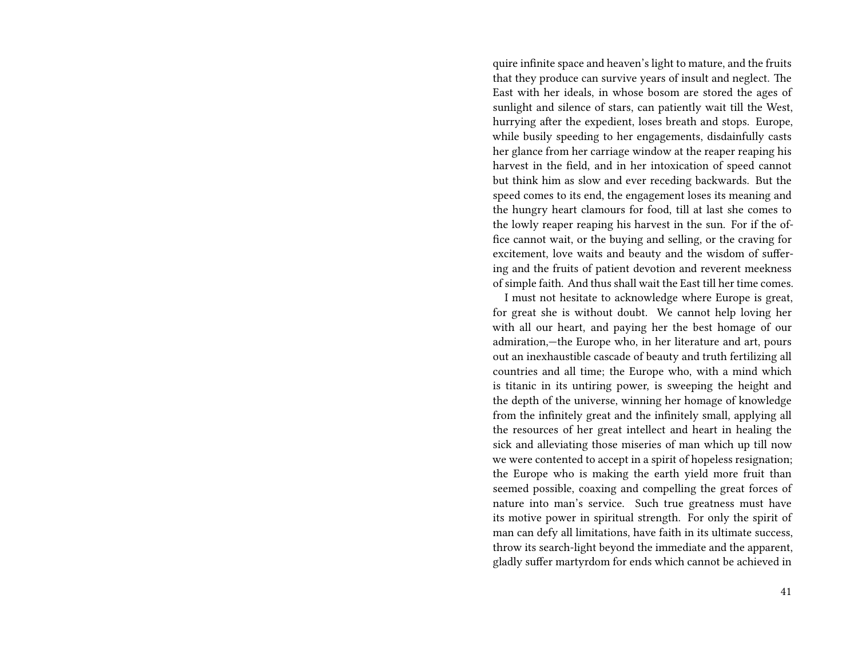quire infinite space and heaven's light to mature, and the fruits that they produce can survive years of insult and neglect. The East with her ideals, in whose bosom are stored the ages of sunlight and silence of stars, can patiently wait till the West, hurrying after the expedient, loses breath and stops. Europe, while busily speeding to her engagements, disdainfully casts her glance from her carriage window at the reaper reaping his harvest in the field, and in her intoxication of speed cannot but think him as slow and ever receding backwards. But the speed comes to its end, the engagement loses its meaning and the hungry heart clamours for food, till at last she comes to the lowly reaper reaping his harvest in the sun. For if the office cannot wait, or the buying and selling, or the craving for excitement, love waits and beauty and the wisdom of suffering and the fruits of patient devotion and reverent meekness of simple faith. And thus shall wait the East till her time comes.

I must not hesitate to acknowledge where Europe is great, for great she is without doubt. We cannot help loving her with all our heart, and paying her the best homage of our admiration,—the Europe who, in her literature and art, pours out an inexhaustible cascade of beauty and truth fertilizing all countries and all time; the Europe who, with a mind which is titanic in its untiring power, is sweeping the height and the depth of the universe, winning her homage of knowledge from the infinitely great and the infinitely small, applying all the resources of her great intellect and heart in healing the sick and alleviating those miseries of man which up till now we were contented to accept in a spirit of hopeless resignation; the Europe who is making the earth yield more fruit than seemed possible, coaxing and compelling the great forces of nature into man's service. Such true greatness must have its motive power in spiritual strength. For only the spirit of man can defy all limitations, have faith in its ultimate success, throw its search-light beyond the immediate and the apparent, gladly suffer martyrdom for ends which cannot be achieved in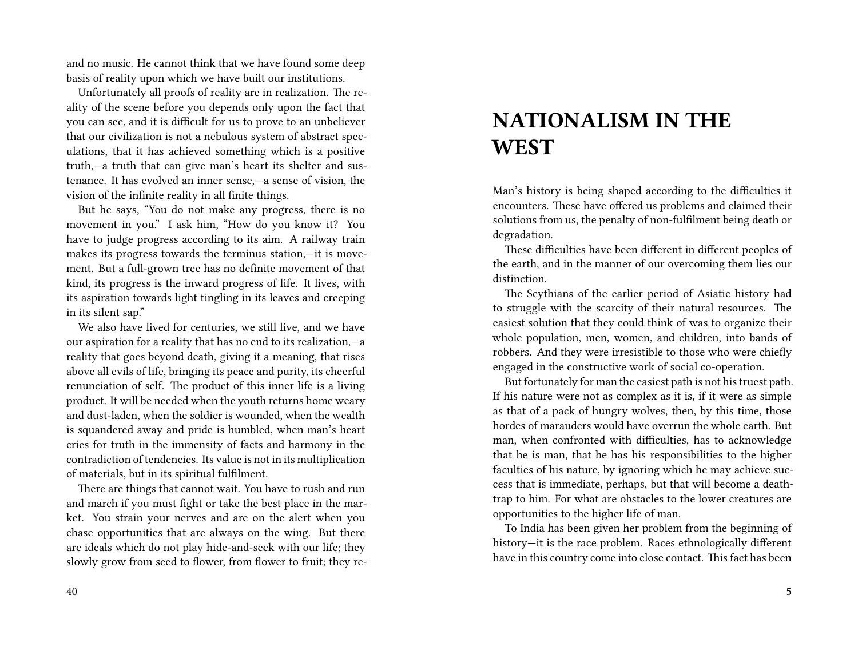and no music. He cannot think that we have found some deep basis of reality upon which we have built our institutions.

Unfortunately all proofs of reality are in realization. The reality of the scene before you depends only upon the fact that you can see, and it is difficult for us to prove to an unbeliever that our civilization is not a nebulous system of abstract speculations, that it has achieved something which is a positive truth,—a truth that can give man's heart its shelter and sustenance. It has evolved an inner sense,—a sense of vision, the vision of the infinite reality in all finite things.

But he says, "You do not make any progress, there is no movement in you." I ask him, "How do you know it? You have to judge progress according to its aim. A railway train makes its progress towards the terminus station,—it is movement. But a full-grown tree has no definite movement of that kind, its progress is the inward progress of life. It lives, with its aspiration towards light tingling in its leaves and creeping in its silent sap."

We also have lived for centuries, we still live, and we have our aspiration for a reality that has no end to its realization,—a reality that goes beyond death, giving it a meaning, that rises above all evils of life, bringing its peace and purity, its cheerful renunciation of self. The product of this inner life is a living product. It will be needed when the youth returns home weary and dust-laden, when the soldier is wounded, when the wealth is squandered away and pride is humbled, when man's heart cries for truth in the immensity of facts and harmony in the contradiction of tendencies. Its value is not in its multiplication of materials, but in its spiritual fulfilment.

There are things that cannot wait. You have to rush and run and march if you must fight or take the best place in the market. You strain your nerves and are on the alert when you chase opportunities that are always on the wing. But there are ideals which do not play hide-and-seek with our life; they slowly grow from seed to flower, from flower to fruit; they re-

# **NATIONALISM IN THE WEST**

Man's history is being shaped according to the difficulties it encounters. These have offered us problems and claimed their solutions from us, the penalty of non-fulfilment being death or degradation.

These difficulties have been different in different peoples of the earth, and in the manner of our overcoming them lies our distinction.

The Scythians of the earlier period of Asiatic history had to struggle with the scarcity of their natural resources. The easiest solution that they could think of was to organize their whole population, men, women, and children, into bands of robbers. And they were irresistible to those who were chiefly engaged in the constructive work of social co-operation.

But fortunately for man the easiest path is not his truest path. If his nature were not as complex as it is, if it were as simple as that of a pack of hungry wolves, then, by this time, those hordes of marauders would have overrun the whole earth. But man, when confronted with difficulties, has to acknowledge that he is man, that he has his responsibilities to the higher faculties of his nature, by ignoring which he may achieve success that is immediate, perhaps, but that will become a deathtrap to him. For what are obstacles to the lower creatures are opportunities to the higher life of man.

To India has been given her problem from the beginning of history—it is the race problem. Races ethnologically different have in this country come into close contact. This fact has been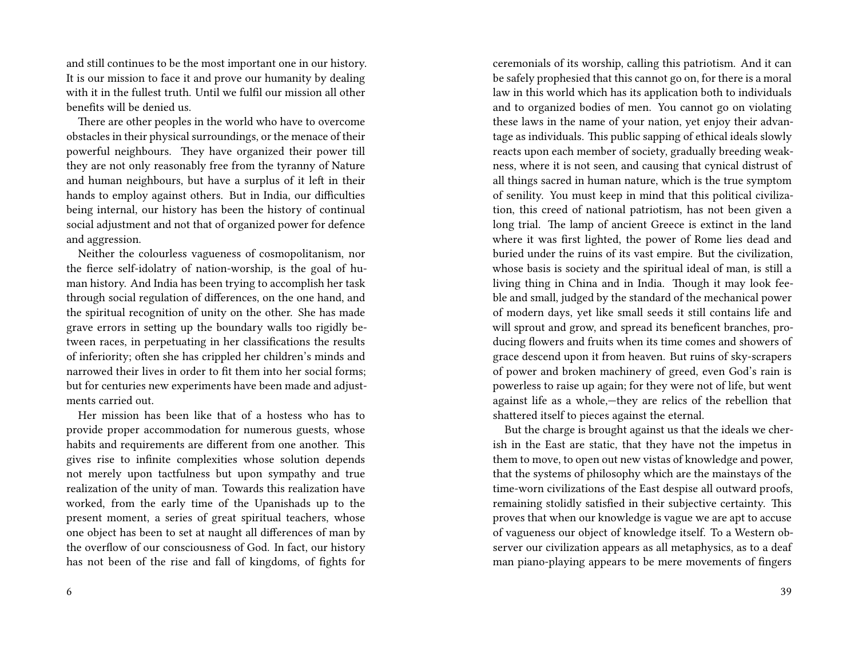and still continues to be the most important one in our history. It is our mission to face it and prove our humanity by dealing with it in the fullest truth. Until we fulfil our mission all other benefits will be denied us.

There are other peoples in the world who have to overcome obstacles in their physical surroundings, or the menace of their powerful neighbours. They have organized their power till they are not only reasonably free from the tyranny of Nature and human neighbours, but have a surplus of it left in their hands to employ against others. But in India, our difficulties being internal, our history has been the history of continual social adjustment and not that of organized power for defence and aggression.

Neither the colourless vagueness of cosmopolitanism, nor the fierce self-idolatry of nation-worship, is the goal of human history. And India has been trying to accomplish her task through social regulation of differences, on the one hand, and the spiritual recognition of unity on the other. She has made grave errors in setting up the boundary walls too rigidly between races, in perpetuating in her classifications the results of inferiority; often she has crippled her children's minds and narrowed their lives in order to fit them into her social forms; but for centuries new experiments have been made and adjustments carried out.

Her mission has been like that of a hostess who has to provide proper accommodation for numerous guests, whose habits and requirements are different from one another. This gives rise to infinite complexities whose solution depends not merely upon tactfulness but upon sympathy and true realization of the unity of man. Towards this realization have worked, from the early time of the Upanishads up to the present moment, a series of great spiritual teachers, whose one object has been to set at naught all differences of man by the overflow of our consciousness of God. In fact, our history has not been of the rise and fall of kingdoms, of fights for ceremonials of its worship, calling this patriotism. And it can be safely prophesied that this cannot go on, for there is a moral law in this world which has its application both to individuals and to organized bodies of men. You cannot go on violating these laws in the name of your nation, yet enjoy their advantage as individuals. This public sapping of ethical ideals slowly reacts upon each member of society, gradually breeding weakness, where it is not seen, and causing that cynical distrust of all things sacred in human nature, which is the true symptom of senility. You must keep in mind that this political civilization, this creed of national patriotism, has not been given a long trial. The lamp of ancient Greece is extinct in the land where it was first lighted, the power of Rome lies dead and buried under the ruins of its vast empire. But the civilization, whose basis is society and the spiritual ideal of man, is still a living thing in China and in India. Though it may look feeble and small, judged by the standard of the mechanical power of modern days, yet like small seeds it still contains life and will sprout and grow, and spread its beneficent branches, producing flowers and fruits when its time comes and showers of grace descend upon it from heaven. But ruins of sky-scrapers of power and broken machinery of greed, even God's rain is powerless to raise up again; for they were not of life, but went against life as a whole,—they are relics of the rebellion that shattered itself to pieces against the eternal.

But the charge is brought against us that the ideals we cherish in the East are static, that they have not the impetus in them to move, to open out new vistas of knowledge and power, that the systems of philosophy which are the mainstays of the time-worn civilizations of the East despise all outward proofs, remaining stolidly satisfied in their subjective certainty. This proves that when our knowledge is vague we are apt to accuse of vagueness our object of knowledge itself. To a Western observer our civilization appears as all metaphysics, as to a deaf man piano-playing appears to be mere movements of fingers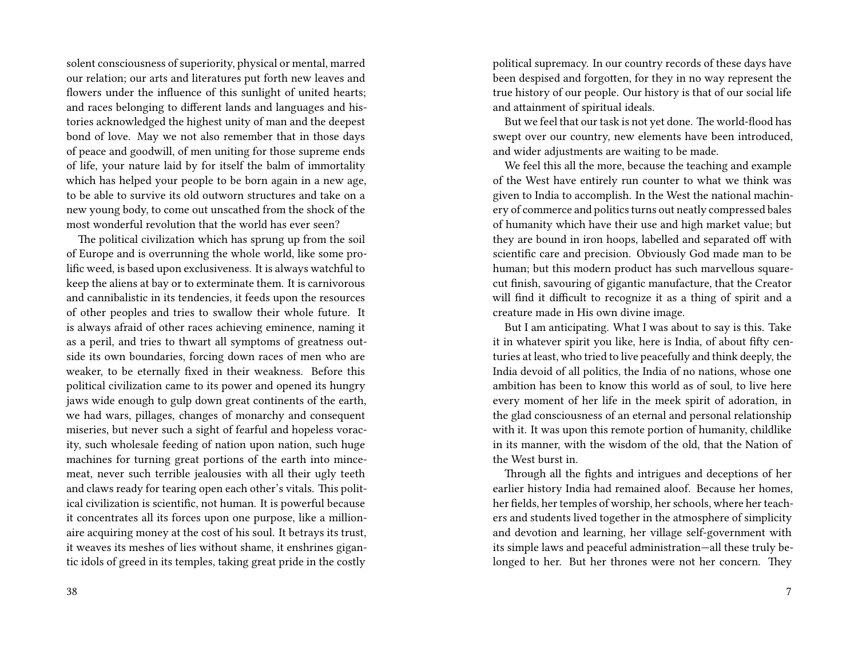solent consciousness of superiority, physical or mental, marred our relation; our arts and literatures put forth new leaves and flowers under the influence of this sunlight of united hearts; and races belonging to different lands and languages and histories acknowledged the highest unity of man and the deepest bond of love. May we not also remember that in those days of peace and goodwill, of men uniting for those supreme ends of life, your nature laid by for itself the balm of immortality which has helped your people to be born again in a new age, to be able to survive its old outworn structures and take on a new young body, to come out unscathed from the shock of the most wonderful revolution that the world has ever seen?

The political civilization which has sprung up from the soil of Europe and is overrunning the whole world, like some prolific weed, is based upon exclusiveness. It is always watchful to keep the aliens at bay or to exterminate them. It is carnivorous and cannibalistic in its tendencies, it feeds upon the resources of other peoples and tries to swallow their whole future. It is always afraid of other races achieving eminence, naming it as a peril, and tries to thwart all symptoms of greatness outside its own boundaries, forcing down races of men who are weaker, to be eternally fixed in their weakness. Before this political civilization came to its power and opened its hungry jaws wide enough to gulp down great continents of the earth, we had wars, pillages, changes of monarchy and consequent miseries, but never such a sight of fearful and hopeless voracity, such wholesale feeding of nation upon nation, such huge machines for turning great portions of the earth into mincemeat, never such terrible jealousies with all their ugly teeth and claws ready for tearing open each other's vitals. This political civilization is scientific, not human. It is powerful because it concentrates all its forces upon one purpose, like a millionaire acquiring money at the cost of his soul. It betrays its trust, it weaves its meshes of lies without shame, it enshrines gigantic idols of greed in its temples, taking great pride in the costly

political supremacy. In our country records of these days have been despised and forgotten, for they in no way represent the true history of our people. Our history is that of our social life and attainment of spiritual ideals.

But we feel that our task is not yet done. The world-flood has swept over our country, new elements have been introduced, and wider adjustments are waiting to be made.

We feel this all the more, because the teaching and example of the West have entirely run counter to what we think was given to India to accomplish. In the West the national machinery of commerce and politics turns out neatly compressed bales of humanity which have their use and high market value; but they are bound in iron hoops, labelled and separated off with scientific care and precision. Obviously God made man to be human; but this modern product has such marvellous squarecut finish, savouring of gigantic manufacture, that the Creator will find it difficult to recognize it as a thing of spirit and a creature made in His own divine image.

But I am anticipating. What I was about to say is this. Take it in whatever spirit you like, here is India, of about fifty centuries at least, who tried to live peacefully and think deeply, the India devoid of all politics, the India of no nations, whose one ambition has been to know this world as of soul, to live here every moment of her life in the meek spirit of adoration, in the glad consciousness of an eternal and personal relationship with it. It was upon this remote portion of humanity, childlike in its manner, with the wisdom of the old, that the Nation of the West burst in.

Through all the fights and intrigues and deceptions of her earlier history India had remained aloof. Because her homes, her fields, her temples of worship, her schools, where her teachers and students lived together in the atmosphere of simplicity and devotion and learning, her village self-government with its simple laws and peaceful administration—all these truly belonged to her. But her thrones were not her concern. They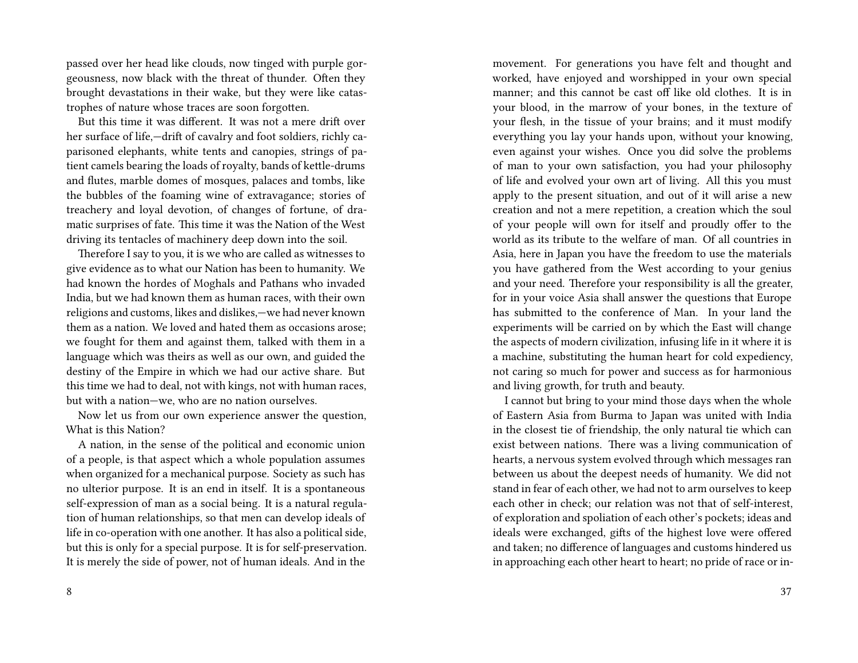passed over her head like clouds, now tinged with purple gorgeousness, now black with the threat of thunder. Often they brought devastations in their wake, but they were like catastrophes of nature whose traces are soon forgotten.

But this time it was different. It was not a mere drift over her surface of life,—drift of cavalry and foot soldiers, richly caparisoned elephants, white tents and canopies, strings of patient camels bearing the loads of royalty, bands of kettle-drums and flutes, marble domes of mosques, palaces and tombs, like the bubbles of the foaming wine of extravagance; stories of treachery and loyal devotion, of changes of fortune, of dramatic surprises of fate. This time it was the Nation of the West driving its tentacles of machinery deep down into the soil.

Therefore I say to you, it is we who are called as witnesses to give evidence as to what our Nation has been to humanity. We had known the hordes of Moghals and Pathans who invaded India, but we had known them as human races, with their own religions and customs, likes and dislikes,—we had never known them as a nation. We loved and hated them as occasions arose; we fought for them and against them, talked with them in a language which was theirs as well as our own, and guided the destiny of the Empire in which we had our active share. But this time we had to deal, not with kings, not with human races, but with a nation—we, who are no nation ourselves.

Now let us from our own experience answer the question, What is this Nation?

A nation, in the sense of the political and economic union of a people, is that aspect which a whole population assumes when organized for a mechanical purpose. Society as such has no ulterior purpose. It is an end in itself. It is a spontaneous self-expression of man as a social being. It is a natural regulation of human relationships, so that men can develop ideals of life in co-operation with one another. It has also a political side, but this is only for a special purpose. It is for self-preservation. It is merely the side of power, not of human ideals. And in the

movement. For generations you have felt and thought and worked, have enjoyed and worshipped in your own special manner; and this cannot be cast off like old clothes. It is in your blood, in the marrow of your bones, in the texture of your flesh, in the tissue of your brains; and it must modify everything you lay your hands upon, without your knowing, even against your wishes. Once you did solve the problems of man to your own satisfaction, you had your philosophy of life and evolved your own art of living. All this you must apply to the present situation, and out of it will arise a new creation and not a mere repetition, a creation which the soul of your people will own for itself and proudly offer to the world as its tribute to the welfare of man. Of all countries in Asia, here in Japan you have the freedom to use the materials you have gathered from the West according to your genius and your need. Therefore your responsibility is all the greater, for in your voice Asia shall answer the questions that Europe has submitted to the conference of Man. In your land the experiments will be carried on by which the East will change the aspects of modern civilization, infusing life in it where it is a machine, substituting the human heart for cold expediency, not caring so much for power and success as for harmonious and living growth, for truth and beauty.

I cannot but bring to your mind those days when the whole of Eastern Asia from Burma to Japan was united with India in the closest tie of friendship, the only natural tie which can exist between nations. There was a living communication of hearts, a nervous system evolved through which messages ran between us about the deepest needs of humanity. We did not stand in fear of each other, we had not to arm ourselves to keep each other in check; our relation was not that of self-interest, of exploration and spoliation of each other's pockets; ideas and ideals were exchanged, gifts of the highest love were offered and taken; no difference of languages and customs hindered us in approaching each other heart to heart; no pride of race or in-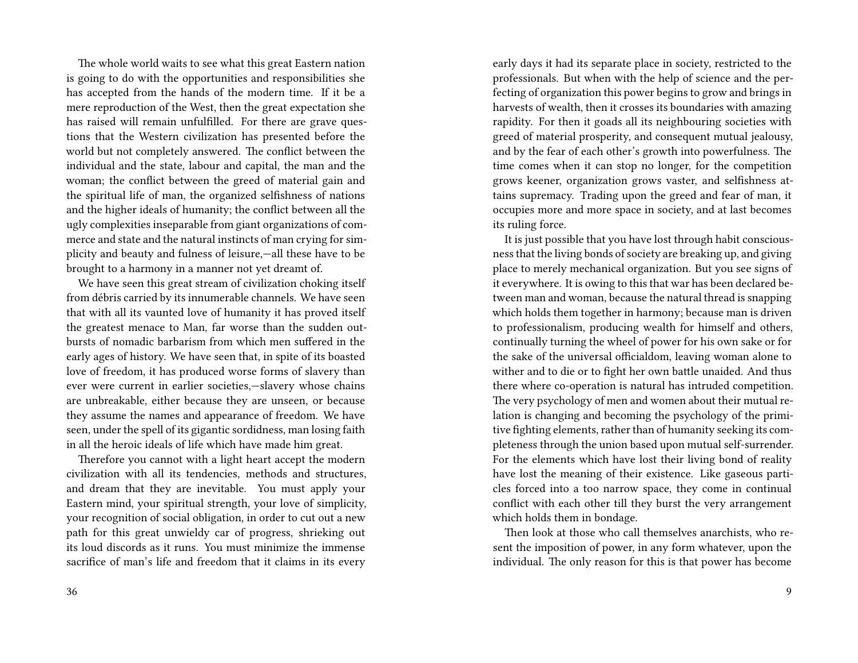The whole world waits to see what this great Eastern nation is going to do with the opportunities and responsibilities she has accepted from the hands of the modern time. If it be a mere reproduction of the West, then the great expectation she has raised will remain unfulfilled. For there are grave questions that the Western civilization has presented before the world but not completely answered. The conflict between the individual and the state, labour and capital, the man and the woman; the conflict between the greed of material gain and the spiritual life of man, the organized selfishness of nations and the higher ideals of humanity; the conflict between all the ugly complexities inseparable from giant organizations of commerce and state and the natural instincts of man crying for simplicity and beauty and fulness of leisure,—all these have to be brought to a harmony in a manner not yet dreamt of.

We have seen this great stream of civilization choking itself from débris carried by its innumerable channels. We have seen that with all its vaunted love of humanity it has proved itself the greatest menace to Man, far worse than the sudden outbursts of nomadic barbarism from which men suffered in the early ages of history. We have seen that, in spite of its boasted love of freedom, it has produced worse forms of slavery than ever were current in earlier societies,—slavery whose chains are unbreakable, either because they are unseen, or because they assume the names and appearance of freedom. We have seen, under the spell of its gigantic sordidness, man losing faith in all the heroic ideals of life which have made him great.

Therefore you cannot with a light heart accept the modern civilization with all its tendencies, methods and structures, and dream that they are inevitable. You must apply your Eastern mind, your spiritual strength, your love of simplicity, your recognition of social obligation, in order to cut out a new path for this great unwieldy car of progress, shrieking out its loud discords as it runs. You must minimize the immense sacrifice of man's life and freedom that it claims in its every

early days it had its separate place in society, restricted to the professionals. But when with the help of science and the perfecting of organization this power begins to grow and brings in harvests of wealth, then it crosses its boundaries with amazing rapidity. For then it goads all its neighbouring societies with greed of material prosperity, and consequent mutual jealousy, and by the fear of each other's growth into powerfulness. The time comes when it can stop no longer, for the competition grows keener, organization grows vaster, and selfishness attains supremacy. Trading upon the greed and fear of man, it occupies more and more space in society, and at last becomes its ruling force.

It is just possible that you have lost through habit consciousness that the living bonds of society are breaking up, and giving place to merely mechanical organization. But you see signs of it everywhere. It is owing to this that war has been declared between man and woman, because the natural thread is snapping which holds them together in harmony; because man is driven to professionalism, producing wealth for himself and others, continually turning the wheel of power for his own sake or for the sake of the universal officialdom, leaving woman alone to wither and to die or to fight her own battle unaided. And thus there where co-operation is natural has intruded competition. The very psychology of men and women about their mutual relation is changing and becoming the psychology of the primitive fighting elements, rather than of humanity seeking its completeness through the union based upon mutual self-surrender. For the elements which have lost their living bond of reality have lost the meaning of their existence. Like gaseous particles forced into a too narrow space, they come in continual conflict with each other till they burst the very arrangement which holds them in bondage.

Then look at those who call themselves anarchists, who resent the imposition of power, in any form whatever, upon the individual. The only reason for this is that power has become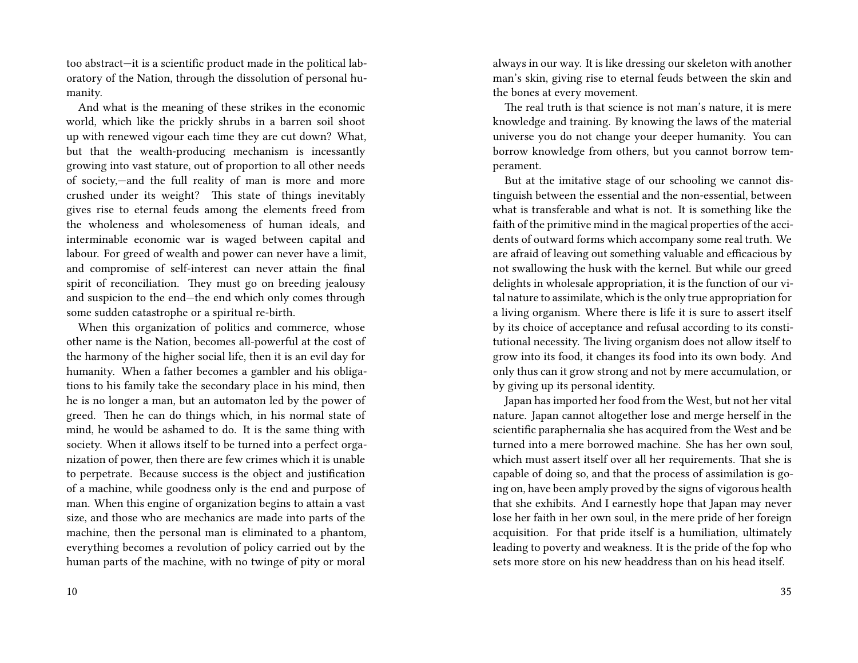too abstract—it is a scientific product made in the political laboratory of the Nation, through the dissolution of personal humanity.

And what is the meaning of these strikes in the economic world, which like the prickly shrubs in a barren soil shoot up with renewed vigour each time they are cut down? What, but that the wealth-producing mechanism is incessantly growing into vast stature, out of proportion to all other needs of society,—and the full reality of man is more and more crushed under its weight? This state of things inevitably gives rise to eternal feuds among the elements freed from the wholeness and wholesomeness of human ideals, and interminable economic war is waged between capital and labour. For greed of wealth and power can never have a limit, and compromise of self-interest can never attain the final spirit of reconciliation. They must go on breeding jealousy and suspicion to the end—the end which only comes through some sudden catastrophe or a spiritual re-birth.

When this organization of politics and commerce, whose other name is the Nation, becomes all-powerful at the cost of the harmony of the higher social life, then it is an evil day for humanity. When a father becomes a gambler and his obligations to his family take the secondary place in his mind, then he is no longer a man, but an automaton led by the power of greed. Then he can do things which, in his normal state of mind, he would be ashamed to do. It is the same thing with society. When it allows itself to be turned into a perfect organization of power, then there are few crimes which it is unable to perpetrate. Because success is the object and justification of a machine, while goodness only is the end and purpose of man. When this engine of organization begins to attain a vast size, and those who are mechanics are made into parts of the machine, then the personal man is eliminated to a phantom, everything becomes a revolution of policy carried out by the human parts of the machine, with no twinge of pity or moral

always in our way. It is like dressing our skeleton with another man's skin, giving rise to eternal feuds between the skin and the bones at every movement.

The real truth is that science is not man's nature, it is mere knowledge and training. By knowing the laws of the material universe you do not change your deeper humanity. You can borrow knowledge from others, but you cannot borrow temperament.

But at the imitative stage of our schooling we cannot distinguish between the essential and the non-essential, between what is transferable and what is not. It is something like the faith of the primitive mind in the magical properties of the accidents of outward forms which accompany some real truth. We are afraid of leaving out something valuable and efficacious by not swallowing the husk with the kernel. But while our greed delights in wholesale appropriation, it is the function of our vital nature to assimilate, which is the only true appropriation for a living organism. Where there is life it is sure to assert itself by its choice of acceptance and refusal according to its constitutional necessity. The living organism does not allow itself to grow into its food, it changes its food into its own body. And only thus can it grow strong and not by mere accumulation, or by giving up its personal identity.

Japan has imported her food from the West, but not her vital nature. Japan cannot altogether lose and merge herself in the scientific paraphernalia she has acquired from the West and be turned into a mere borrowed machine. She has her own soul, which must assert itself over all her requirements. That she is capable of doing so, and that the process of assimilation is going on, have been amply proved by the signs of vigorous health that she exhibits. And I earnestly hope that Japan may never lose her faith in her own soul, in the mere pride of her foreign acquisition. For that pride itself is a humiliation, ultimately leading to poverty and weakness. It is the pride of the fop who sets more store on his new headdress than on his head itself.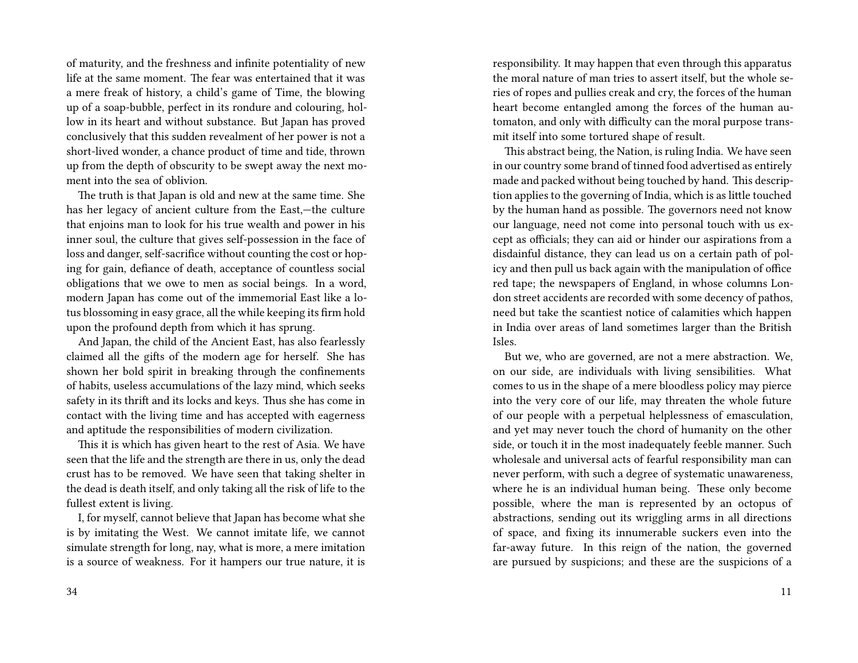of maturity, and the freshness and infinite potentiality of new life at the same moment. The fear was entertained that it was a mere freak of history, a child's game of Time, the blowing up of a soap-bubble, perfect in its rondure and colouring, hollow in its heart and without substance. But Japan has proved conclusively that this sudden revealment of her power is not a short-lived wonder, a chance product of time and tide, thrown up from the depth of obscurity to be swept away the next moment into the sea of oblivion.

The truth is that Japan is old and new at the same time. She has her legacy of ancient culture from the East,—the culture that enjoins man to look for his true wealth and power in his inner soul, the culture that gives self-possession in the face of loss and danger, self-sacrifice without counting the cost or hoping for gain, defiance of death, acceptance of countless social obligations that we owe to men as social beings. In a word, modern Japan has come out of the immemorial East like a lotus blossoming in easy grace, all the while keeping its firm hold upon the profound depth from which it has sprung.

And Japan, the child of the Ancient East, has also fearlessly claimed all the gifts of the modern age for herself. She has shown her bold spirit in breaking through the confinements of habits, useless accumulations of the lazy mind, which seeks safety in its thrift and its locks and keys. Thus she has come in contact with the living time and has accepted with eagerness and aptitude the responsibilities of modern civilization.

This it is which has given heart to the rest of Asia. We have seen that the life and the strength are there in us, only the dead crust has to be removed. We have seen that taking shelter in the dead is death itself, and only taking all the risk of life to the fullest extent is living.

I, for myself, cannot believe that Japan has become what she is by imitating the West. We cannot imitate life, we cannot simulate strength for long, nay, what is more, a mere imitation is a source of weakness. For it hampers our true nature, it is responsibility. It may happen that even through this apparatus the moral nature of man tries to assert itself, but the whole series of ropes and pullies creak and cry, the forces of the human heart become entangled among the forces of the human automaton, and only with difficulty can the moral purpose transmit itself into some tortured shape of result.

This abstract being, the Nation, is ruling India. We have seen in our country some brand of tinned food advertised as entirely made and packed without being touched by hand. This description applies to the governing of India, which is as little touched by the human hand as possible. The governors need not know our language, need not come into personal touch with us except as officials; they can aid or hinder our aspirations from a disdainful distance, they can lead us on a certain path of policy and then pull us back again with the manipulation of office red tape; the newspapers of England, in whose columns London street accidents are recorded with some decency of pathos, need but take the scantiest notice of calamities which happen in India over areas of land sometimes larger than the British Isles.

But we, who are governed, are not a mere abstraction. We, on our side, are individuals with living sensibilities. What comes to us in the shape of a mere bloodless policy may pierce into the very core of our life, may threaten the whole future of our people with a perpetual helplessness of emasculation, and yet may never touch the chord of humanity on the other side, or touch it in the most inadequately feeble manner. Such wholesale and universal acts of fearful responsibility man can never perform, with such a degree of systematic unawareness, where he is an individual human being. These only become possible, where the man is represented by an octopus of abstractions, sending out its wriggling arms in all directions of space, and fixing its innumerable suckers even into the far-away future. In this reign of the nation, the governed are pursued by suspicions; and these are the suspicions of a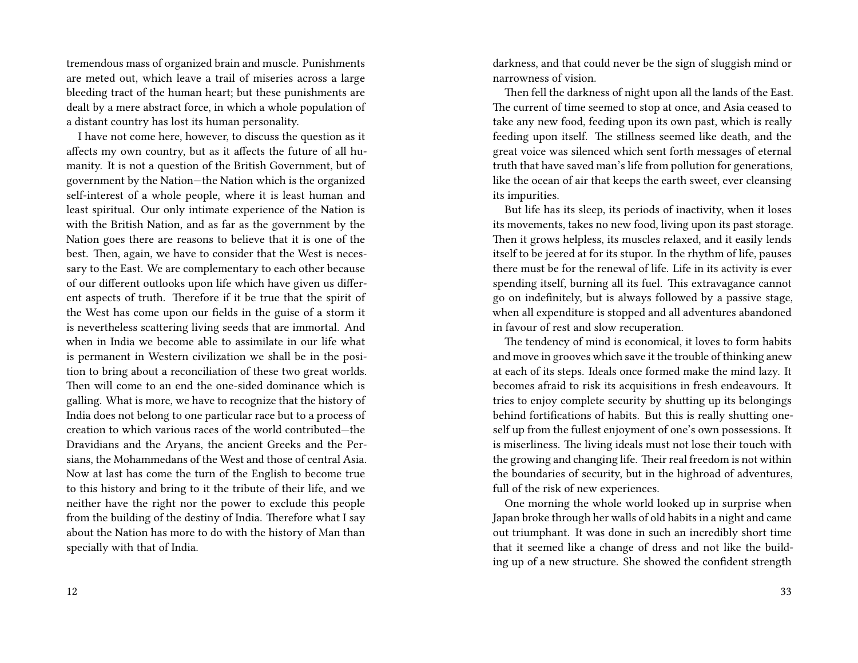tremendous mass of organized brain and muscle. Punishments are meted out, which leave a trail of miseries across a large bleeding tract of the human heart; but these punishments are dealt by a mere abstract force, in which a whole population of a distant country has lost its human personality.

I have not come here, however, to discuss the question as it affects my own country, but as it affects the future of all humanity. It is not a question of the British Government, but of government by the Nation—the Nation which is the organized self-interest of a whole people, where it is least human and least spiritual. Our only intimate experience of the Nation is with the British Nation, and as far as the government by the Nation goes there are reasons to believe that it is one of the best. Then, again, we have to consider that the West is necessary to the East. We are complementary to each other because of our different outlooks upon life which have given us different aspects of truth. Therefore if it be true that the spirit of the West has come upon our fields in the guise of a storm it is nevertheless scattering living seeds that are immortal. And when in India we become able to assimilate in our life what is permanent in Western civilization we shall be in the position to bring about a reconciliation of these two great worlds. Then will come to an end the one-sided dominance which is galling. What is more, we have to recognize that the history of India does not belong to one particular race but to a process of creation to which various races of the world contributed—the Dravidians and the Aryans, the ancient Greeks and the Persians, the Mohammedans of the West and those of central Asia. Now at last has come the turn of the English to become true to this history and bring to it the tribute of their life, and we neither have the right nor the power to exclude this people from the building of the destiny of India. Therefore what I say about the Nation has more to do with the history of Man than specially with that of India.

darkness, and that could never be the sign of sluggish mind or narrowness of vision.

Then fell the darkness of night upon all the lands of the East. The current of time seemed to stop at once, and Asia ceased to take any new food, feeding upon its own past, which is really feeding upon itself. The stillness seemed like death, and the great voice was silenced which sent forth messages of eternal truth that have saved man's life from pollution for generations, like the ocean of air that keeps the earth sweet, ever cleansing its impurities.

But life has its sleep, its periods of inactivity, when it loses its movements, takes no new food, living upon its past storage. Then it grows helpless, its muscles relaxed, and it easily lends itself to be jeered at for its stupor. In the rhythm of life, pauses there must be for the renewal of life. Life in its activity is ever spending itself, burning all its fuel. This extravagance cannot go on indefinitely, but is always followed by a passive stage, when all expenditure is stopped and all adventures abandoned in favour of rest and slow recuperation.

The tendency of mind is economical, it loves to form habits and move in grooves which save it the trouble of thinking anew at each of its steps. Ideals once formed make the mind lazy. It becomes afraid to risk its acquisitions in fresh endeavours. It tries to enjoy complete security by shutting up its belongings behind fortifications of habits. But this is really shutting oneself up from the fullest enjoyment of one's own possessions. It is miserliness. The living ideals must not lose their touch with the growing and changing life. Their real freedom is not within the boundaries of security, but in the highroad of adventures, full of the risk of new experiences.

One morning the whole world looked up in surprise when Japan broke through her walls of old habits in a night and came out triumphant. It was done in such an incredibly short time that it seemed like a change of dress and not like the building up of a new structure. She showed the confident strength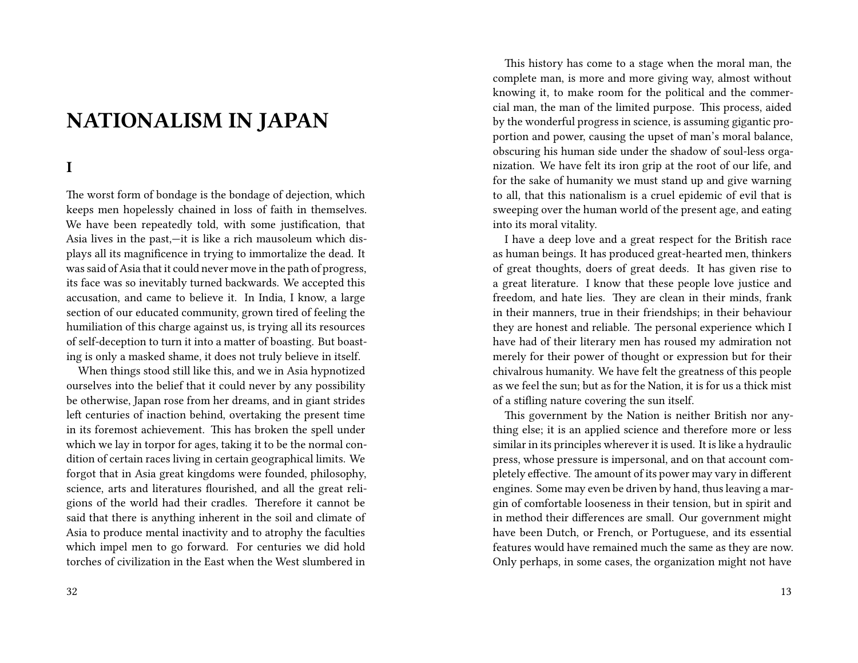# **NATIONALISM IN JAPAN**

## **I**

The worst form of bondage is the bondage of dejection, which keeps men hopelessly chained in loss of faith in themselves. We have been repeatedly told, with some justification, that Asia lives in the past,—it is like a rich mausoleum which displays all its magnificence in trying to immortalize the dead. It was said of Asia that it could never move in the path of progress, its face was so inevitably turned backwards. We accepted this accusation, and came to believe it. In India, I know, a large section of our educated community, grown tired of feeling the humiliation of this charge against us, is trying all its resources of self-deception to turn it into a matter of boasting. But boasting is only a masked shame, it does not truly believe in itself.

When things stood still like this, and we in Asia hypnotized ourselves into the belief that it could never by any possibility be otherwise, Japan rose from her dreams, and in giant strides left centuries of inaction behind, overtaking the present time in its foremost achievement. This has broken the spell under which we lay in torpor for ages, taking it to be the normal condition of certain races living in certain geographical limits. We forgot that in Asia great kingdoms were founded, philosophy, science, arts and literatures flourished, and all the great religions of the world had their cradles. Therefore it cannot be said that there is anything inherent in the soil and climate of Asia to produce mental inactivity and to atrophy the faculties which impel men to go forward. For centuries we did hold torches of civilization in the East when the West slumbered in

This history has come to a stage when the moral man, the complete man, is more and more giving way, almost without knowing it, to make room for the political and the commercial man, the man of the limited purpose. This process, aided by the wonderful progress in science, is assuming gigantic proportion and power, causing the upset of man's moral balance, obscuring his human side under the shadow of soul-less organization. We have felt its iron grip at the root of our life, and for the sake of humanity we must stand up and give warning to all, that this nationalism is a cruel epidemic of evil that is sweeping over the human world of the present age, and eating into its moral vitality.

I have a deep love and a great respect for the British race as human beings. It has produced great-hearted men, thinkers of great thoughts, doers of great deeds. It has given rise to a great literature. I know that these people love justice and freedom, and hate lies. They are clean in their minds, frank in their manners, true in their friendships; in their behaviour they are honest and reliable. The personal experience which I have had of their literary men has roused my admiration not merely for their power of thought or expression but for their chivalrous humanity. We have felt the greatness of this people as we feel the sun; but as for the Nation, it is for us a thick mist of a stifling nature covering the sun itself.

This government by the Nation is neither British nor anything else; it is an applied science and therefore more or less similar in its principles wherever it is used. It is like a hydraulic press, whose pressure is impersonal, and on that account completely effective. The amount of its power may vary in different engines. Some may even be driven by hand, thus leaving a margin of comfortable looseness in their tension, but in spirit and in method their differences are small. Our government might have been Dutch, or French, or Portuguese, and its essential features would have remained much the same as they are now. Only perhaps, in some cases, the organization might not have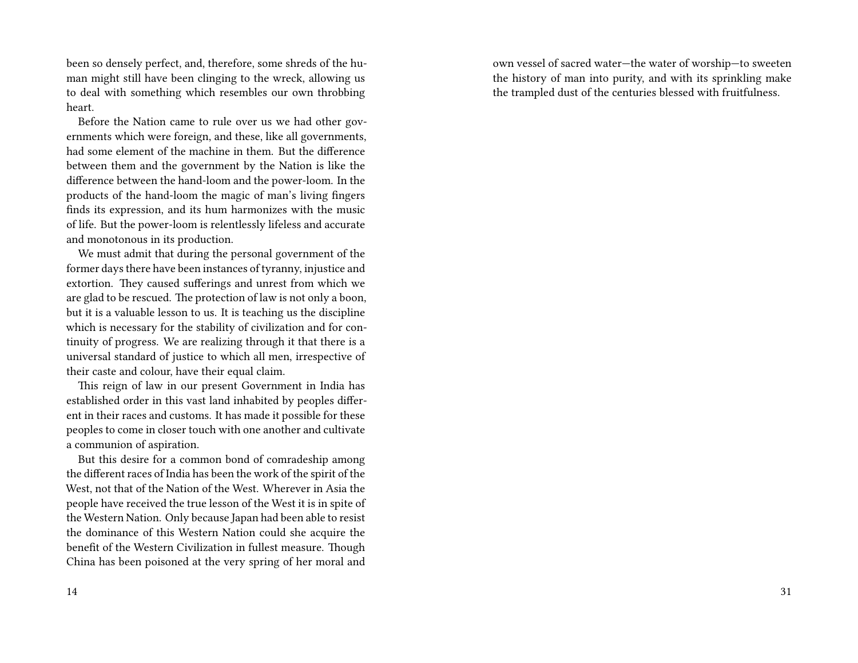been so densely perfect, and, therefore, some shreds of the human might still have been clinging to the wreck, allowing us to deal with something which resembles our own throbbing heart.

Before the Nation came to rule over us we had other governments which were foreign, and these, like all governments, had some element of the machine in them. But the difference between them and the government by the Nation is like the difference between the hand-loom and the power-loom. In the products of the hand-loom the magic of man's living fingers finds its expression, and its hum harmonizes with the music of life. But the power-loom is relentlessly lifeless and accurate and monotonous in its production.

We must admit that during the personal government of the former days there have been instances of tyranny, injustice and extortion. They caused sufferings and unrest from which we are glad to be rescued. The protection of law is not only a boon, but it is a valuable lesson to us. It is teaching us the discipline which is necessary for the stability of civilization and for continuity of progress. We are realizing through it that there is a universal standard of justice to which all men, irrespective of their caste and colour, have their equal claim.

This reign of law in our present Government in India has established order in this vast land inhabited by peoples different in their races and customs. It has made it possible for these peoples to come in closer touch with one another and cultivate a communion of aspiration.

But this desire for a common bond of comradeship among the different races of India has been the work of the spirit of the West, not that of the Nation of the West. Wherever in Asia the people have received the true lesson of the West it is in spite of the Western Nation. Only because Japan had been able to resist the dominance of this Western Nation could she acquire the benefit of the Western Civilization in fullest measure. Though China has been poisoned at the very spring of her moral and

own vessel of sacred water—the water of worship—to sweeten the history of man into purity, and with its sprinkling make the trampled dust of the centuries blessed with fruitfulness.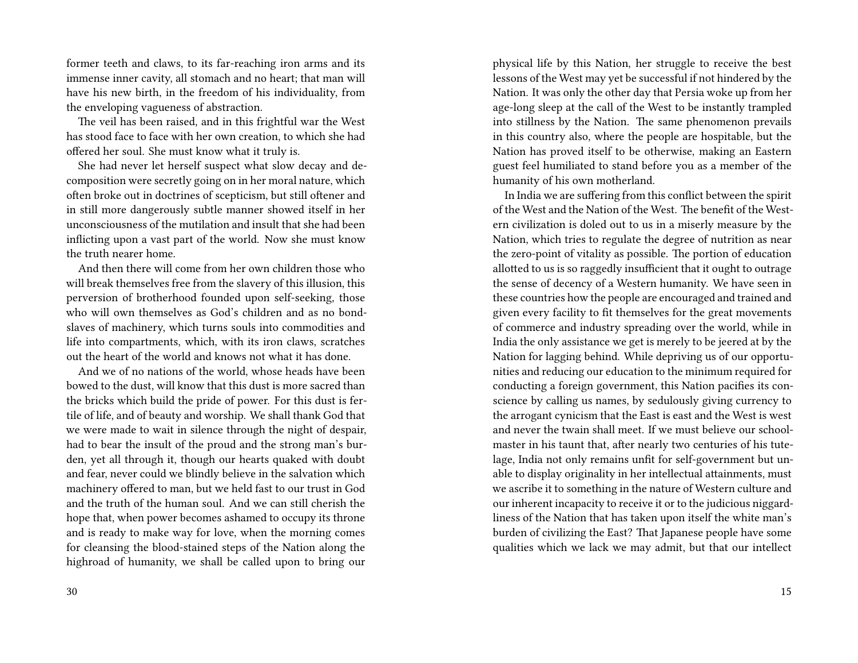former teeth and claws, to its far-reaching iron arms and its immense inner cavity, all stomach and no heart; that man will have his new birth, in the freedom of his individuality, from the enveloping vagueness of abstraction.

The veil has been raised, and in this frightful war the West has stood face to face with her own creation, to which she had offered her soul. She must know what it truly is.

She had never let herself suspect what slow decay and decomposition were secretly going on in her moral nature, which often broke out in doctrines of scepticism, but still oftener and in still more dangerously subtle manner showed itself in her unconsciousness of the mutilation and insult that she had been inflicting upon a vast part of the world. Now she must know the truth nearer home.

And then there will come from her own children those who will break themselves free from the slavery of this illusion, this perversion of brotherhood founded upon self-seeking, those who will own themselves as God's children and as no bondslaves of machinery, which turns souls into commodities and life into compartments, which, with its iron claws, scratches out the heart of the world and knows not what it has done.

And we of no nations of the world, whose heads have been bowed to the dust, will know that this dust is more sacred than the bricks which build the pride of power. For this dust is fertile of life, and of beauty and worship. We shall thank God that we were made to wait in silence through the night of despair, had to bear the insult of the proud and the strong man's burden, yet all through it, though our hearts quaked with doubt and fear, never could we blindly believe in the salvation which machinery offered to man, but we held fast to our trust in God and the truth of the human soul. And we can still cherish the hope that, when power becomes ashamed to occupy its throne and is ready to make way for love, when the morning comes for cleansing the blood-stained steps of the Nation along the highroad of humanity, we shall be called upon to bring our

physical life by this Nation, her struggle to receive the best lessons of the West may yet be successful if not hindered by the Nation. It was only the other day that Persia woke up from her age-long sleep at the call of the West to be instantly trampled into stillness by the Nation. The same phenomenon prevails in this country also, where the people are hospitable, but the Nation has proved itself to be otherwise, making an Eastern guest feel humiliated to stand before you as a member of the humanity of his own motherland.

In India we are suffering from this conflict between the spirit of the West and the Nation of the West. The benefit of the Western civilization is doled out to us in a miserly measure by the Nation, which tries to regulate the degree of nutrition as near the zero-point of vitality as possible. The portion of education allotted to us is so raggedly insufficient that it ought to outrage the sense of decency of a Western humanity. We have seen in these countries how the people are encouraged and trained and given every facility to fit themselves for the great movements of commerce and industry spreading over the world, while in India the only assistance we get is merely to be jeered at by the Nation for lagging behind. While depriving us of our opportunities and reducing our education to the minimum required for conducting a foreign government, this Nation pacifies its conscience by calling us names, by sedulously giving currency to the arrogant cynicism that the East is east and the West is west and never the twain shall meet. If we must believe our schoolmaster in his taunt that, after nearly two centuries of his tutelage, India not only remains unfit for self-government but unable to display originality in her intellectual attainments, must we ascribe it to something in the nature of Western culture and our inherent incapacity to receive it or to the judicious niggardliness of the Nation that has taken upon itself the white man's burden of civilizing the East? That Japanese people have some qualities which we lack we may admit, but that our intellect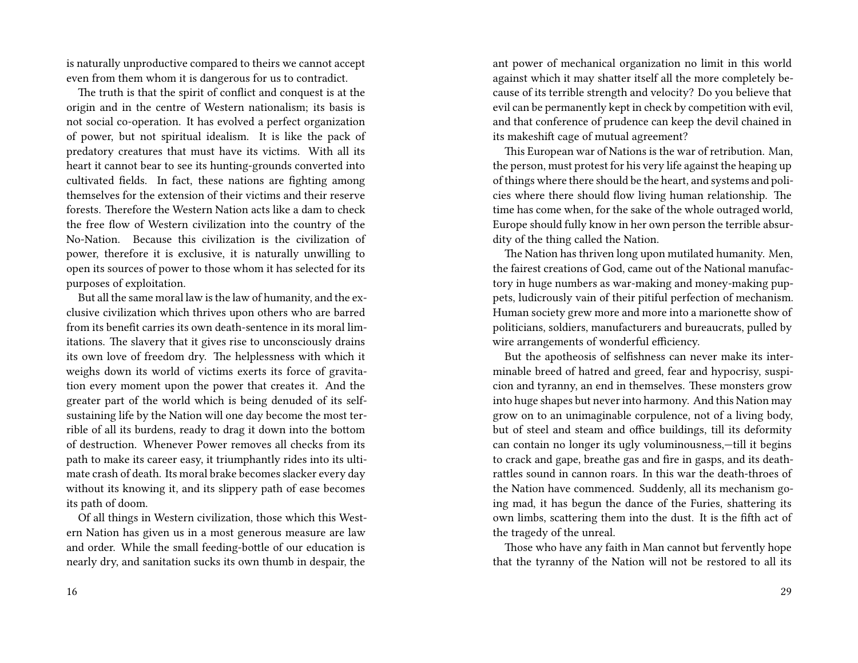is naturally unproductive compared to theirs we cannot accept even from them whom it is dangerous for us to contradict.

The truth is that the spirit of conflict and conquest is at the origin and in the centre of Western nationalism; its basis is not social co-operation. It has evolved a perfect organization of power, but not spiritual idealism. It is like the pack of predatory creatures that must have its victims. With all its heart it cannot bear to see its hunting-grounds converted into cultivated fields. In fact, these nations are fighting among themselves for the extension of their victims and their reserve forests. Therefore the Western Nation acts like a dam to check the free flow of Western civilization into the country of the No-Nation. Because this civilization is the civilization of power, therefore it is exclusive, it is naturally unwilling to open its sources of power to those whom it has selected for its purposes of exploitation.

But all the same moral law is the law of humanity, and the exclusive civilization which thrives upon others who are barred from its benefit carries its own death-sentence in its moral limitations. The slavery that it gives rise to unconsciously drains its own love of freedom dry. The helplessness with which it weighs down its world of victims exerts its force of gravitation every moment upon the power that creates it. And the greater part of the world which is being denuded of its selfsustaining life by the Nation will one day become the most terrible of all its burdens, ready to drag it down into the bottom of destruction. Whenever Power removes all checks from its path to make its career easy, it triumphantly rides into its ultimate crash of death. Its moral brake becomes slacker every day without its knowing it, and its slippery path of ease becomes its path of doom.

Of all things in Western civilization, those which this Western Nation has given us in a most generous measure are law and order. While the small feeding-bottle of our education is nearly dry, and sanitation sucks its own thumb in despair, the

ant power of mechanical organization no limit in this world against which it may shatter itself all the more completely because of its terrible strength and velocity? Do you believe that evil can be permanently kept in check by competition with evil, and that conference of prudence can keep the devil chained in its makeshift cage of mutual agreement?

This European war of Nations is the war of retribution. Man, the person, must protest for his very life against the heaping up of things where there should be the heart, and systems and policies where there should flow living human relationship. The time has come when, for the sake of the whole outraged world, Europe should fully know in her own person the terrible absurdity of the thing called the Nation.

The Nation has thriven long upon mutilated humanity. Men, the fairest creations of God, came out of the National manufactory in huge numbers as war-making and money-making puppets, ludicrously vain of their pitiful perfection of mechanism. Human society grew more and more into a marionette show of politicians, soldiers, manufacturers and bureaucrats, pulled by wire arrangements of wonderful efficiency.

But the apotheosis of selfishness can never make its interminable breed of hatred and greed, fear and hypocrisy, suspicion and tyranny, an end in themselves. These monsters grow into huge shapes but never into harmony. And this Nation may grow on to an unimaginable corpulence, not of a living body, but of steel and steam and office buildings, till its deformity can contain no longer its ugly voluminousness,—till it begins to crack and gape, breathe gas and fire in gasps, and its deathrattles sound in cannon roars. In this war the death-throes of the Nation have commenced. Suddenly, all its mechanism going mad, it has begun the dance of the Furies, shattering its own limbs, scattering them into the dust. It is the fifth act of the tragedy of the unreal.

Those who have any faith in Man cannot but fervently hope that the tyranny of the Nation will not be restored to all its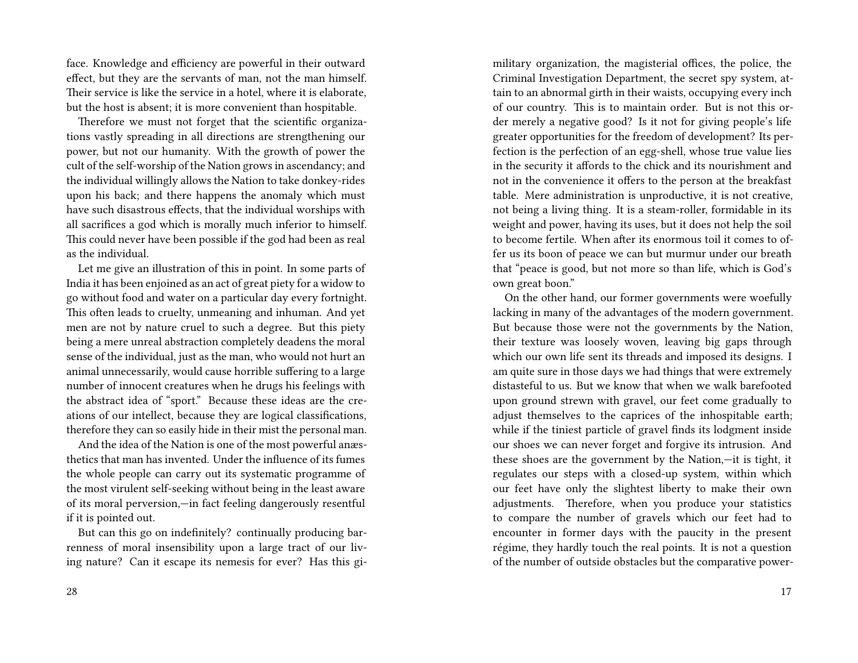face. Knowledge and efficiency are powerful in their outward effect, but they are the servants of man, not the man himself. Their service is like the service in a hotel, where it is elaborate, but the host is absent; it is more convenient than hospitable.

Therefore we must not forget that the scientific organizations vastly spreading in all directions are strengthening our power, but not our humanity. With the growth of power the cult of the self-worship of the Nation grows in ascendancy; and the individual willingly allows the Nation to take donkey-rides upon his back; and there happens the anomaly which must have such disastrous effects, that the individual worships with all sacrifices a god which is morally much inferior to himself. This could never have been possible if the god had been as real as the individual.

Let me give an illustration of this in point. In some parts of India it has been enjoined as an act of great piety for a widow to go without food and water on a particular day every fortnight. This often leads to cruelty, unmeaning and inhuman. And yet men are not by nature cruel to such a degree. But this piety being a mere unreal abstraction completely deadens the moral sense of the individual, just as the man, who would not hurt an animal unnecessarily, would cause horrible suffering to a large number of innocent creatures when he drugs his feelings with the abstract idea of "sport." Because these ideas are the creations of our intellect, because they are logical classifications, therefore they can so easily hide in their mist the personal man.

And the idea of the Nation is one of the most powerful anæsthetics that man has invented. Under the influence of its fumes the whole people can carry out its systematic programme of the most virulent self-seeking without being in the least aware of its moral perversion,—in fact feeling dangerously resentful if it is pointed out.

But can this go on indefinitely? continually producing barrenness of moral insensibility upon a large tract of our living nature? Can it escape its nemesis for ever? Has this gimilitary organization, the magisterial offices, the police, the Criminal Investigation Department, the secret spy system, attain to an abnormal girth in their waists, occupying every inch of our country. This is to maintain order. But is not this order merely a negative good? Is it not for giving people's life greater opportunities for the freedom of development? Its perfection is the perfection of an egg-shell, whose true value lies in the security it affords to the chick and its nourishment and not in the convenience it offers to the person at the breakfast table. Mere administration is unproductive, it is not creative, not being a living thing. It is a steam-roller, formidable in its weight and power, having its uses, but it does not help the soil to become fertile. When after its enormous toil it comes to offer us its boon of peace we can but murmur under our breath that "peace is good, but not more so than life, which is God's own great boon."

On the other hand, our former governments were woefully lacking in many of the advantages of the modern government. But because those were not the governments by the Nation, their texture was loosely woven, leaving big gaps through which our own life sent its threads and imposed its designs. I am quite sure in those days we had things that were extremely distasteful to us. But we know that when we walk barefooted upon ground strewn with gravel, our feet come gradually to adjust themselves to the caprices of the inhospitable earth; while if the tiniest particle of gravel finds its lodgment inside our shoes we can never forget and forgive its intrusion. And these shoes are the government by the Nation,—it is tight, it regulates our steps with a closed-up system, within which our feet have only the slightest liberty to make their own adjustments. Therefore, when you produce your statistics to compare the number of gravels which our feet had to encounter in former days with the paucity in the present régime, they hardly touch the real points. It is not a question of the number of outside obstacles but the comparative power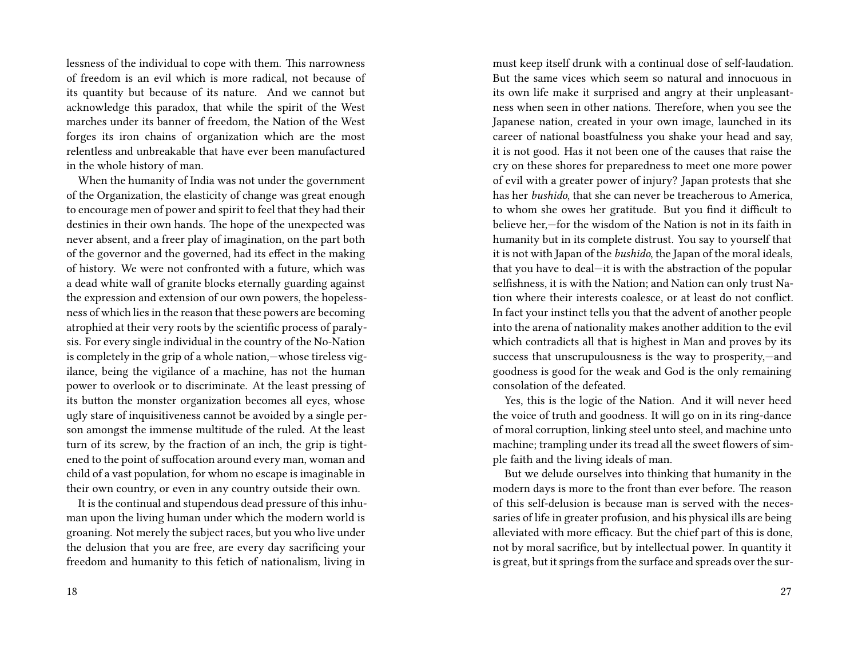lessness of the individual to cope with them. This narrowness of freedom is an evil which is more radical, not because of its quantity but because of its nature. And we cannot but acknowledge this paradox, that while the spirit of the West marches under its banner of freedom, the Nation of the West forges its iron chains of organization which are the most relentless and unbreakable that have ever been manufactured in the whole history of man.

When the humanity of India was not under the government of the Organization, the elasticity of change was great enough to encourage men of power and spirit to feel that they had their destinies in their own hands. The hope of the unexpected was never absent, and a freer play of imagination, on the part both of the governor and the governed, had its effect in the making of history. We were not confronted with a future, which was a dead white wall of granite blocks eternally guarding against the expression and extension of our own powers, the hopelessness of which lies in the reason that these powers are becoming atrophied at their very roots by the scientific process of paralysis. For every single individual in the country of the No-Nation is completely in the grip of a whole nation,—whose tireless vigilance, being the vigilance of a machine, has not the human power to overlook or to discriminate. At the least pressing of its button the monster organization becomes all eyes, whose ugly stare of inquisitiveness cannot be avoided by a single person amongst the immense multitude of the ruled. At the least turn of its screw, by the fraction of an inch, the grip is tightened to the point of suffocation around every man, woman and child of a vast population, for whom no escape is imaginable in their own country, or even in any country outside their own.

It is the continual and stupendous dead pressure of this inhuman upon the living human under which the modern world is groaning. Not merely the subject races, but you who live under the delusion that you are free, are every day sacrificing your freedom and humanity to this fetich of nationalism, living in

must keep itself drunk with a continual dose of self-laudation. But the same vices which seem so natural and innocuous in its own life make it surprised and angry at their unpleasantness when seen in other nations. Therefore, when you see the Japanese nation, created in your own image, launched in its career of national boastfulness you shake your head and say, it is not good. Has it not been one of the causes that raise the cry on these shores for preparedness to meet one more power of evil with a greater power of injury? Japan protests that she has her *bushido*, that she can never be treacherous to America, to whom she owes her gratitude. But you find it difficult to believe her,—for the wisdom of the Nation is not in its faith in humanity but in its complete distrust. You say to yourself that it is not with Japan of the *bushido*, the Japan of the moral ideals, that you have to deal—it is with the abstraction of the popular selfishness, it is with the Nation; and Nation can only trust Nation where their interests coalesce, or at least do not conflict. In fact your instinct tells you that the advent of another people into the arena of nationality makes another addition to the evil which contradicts all that is highest in Man and proves by its success that unscrupulousness is the way to prosperity,—and goodness is good for the weak and God is the only remaining consolation of the defeated.

Yes, this is the logic of the Nation. And it will never heed the voice of truth and goodness. It will go on in its ring-dance of moral corruption, linking steel unto steel, and machine unto machine; trampling under its tread all the sweet flowers of simple faith and the living ideals of man.

But we delude ourselves into thinking that humanity in the modern days is more to the front than ever before. The reason of this self-delusion is because man is served with the necessaries of life in greater profusion, and his physical ills are being alleviated with more efficacy. But the chief part of this is done, not by moral sacrifice, but by intellectual power. In quantity it is great, but it springs from the surface and spreads over the sur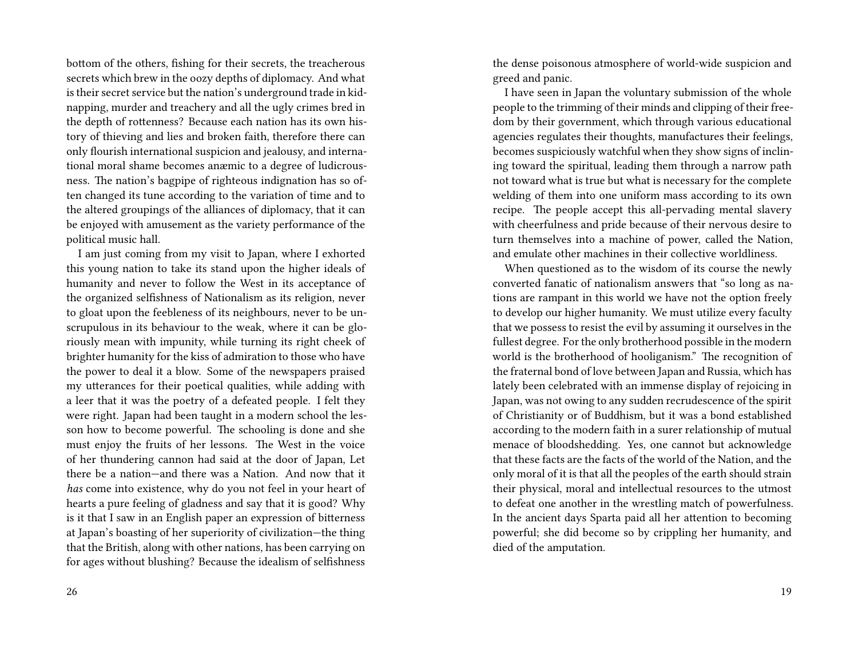bottom of the others, fishing for their secrets, the treacherous secrets which brew in the oozy depths of diplomacy. And what is their secret service but the nation's underground trade in kidnapping, murder and treachery and all the ugly crimes bred in the depth of rottenness? Because each nation has its own history of thieving and lies and broken faith, therefore there can only flourish international suspicion and jealousy, and international moral shame becomes anæmic to a degree of ludicrousness. The nation's bagpipe of righteous indignation has so often changed its tune according to the variation of time and to the altered groupings of the alliances of diplomacy, that it can be enjoyed with amusement as the variety performance of the political music hall.

I am just coming from my visit to Japan, where I exhorted this young nation to take its stand upon the higher ideals of humanity and never to follow the West in its acceptance of the organized selfishness of Nationalism as its religion, never to gloat upon the feebleness of its neighbours, never to be unscrupulous in its behaviour to the weak, where it can be gloriously mean with impunity, while turning its right cheek of brighter humanity for the kiss of admiration to those who have the power to deal it a blow. Some of the newspapers praised my utterances for their poetical qualities, while adding with a leer that it was the poetry of a defeated people. I felt they were right. Japan had been taught in a modern school the lesson how to become powerful. The schooling is done and she must enjoy the fruits of her lessons. The West in the voice of her thundering cannon had said at the door of Japan, Let there be a nation—and there was a Nation. And now that it *has* come into existence, why do you not feel in your heart of hearts a pure feeling of gladness and say that it is good? Why is it that I saw in an English paper an expression of bitterness at Japan's boasting of her superiority of civilization—the thing that the British, along with other nations, has been carrying on for ages without blushing? Because the idealism of selfishness

the dense poisonous atmosphere of world-wide suspicion and greed and panic.

I have seen in Japan the voluntary submission of the whole people to the trimming of their minds and clipping of their freedom by their government, which through various educational agencies regulates their thoughts, manufactures their feelings, becomes suspiciously watchful when they show signs of inclining toward the spiritual, leading them through a narrow path not toward what is true but what is necessary for the complete welding of them into one uniform mass according to its own recipe. The people accept this all-pervading mental slavery with cheerfulness and pride because of their nervous desire to turn themselves into a machine of power, called the Nation, and emulate other machines in their collective worldliness.

When questioned as to the wisdom of its course the newly converted fanatic of nationalism answers that "so long as nations are rampant in this world we have not the option freely to develop our higher humanity. We must utilize every faculty that we possess to resist the evil by assuming it ourselves in the fullest degree. For the only brotherhood possible in the modern world is the brotherhood of hooliganism." The recognition of the fraternal bond of love between Japan and Russia, which has lately been celebrated with an immense display of rejoicing in Japan, was not owing to any sudden recrudescence of the spirit of Christianity or of Buddhism, but it was a bond established according to the modern faith in a surer relationship of mutual menace of bloodshedding. Yes, one cannot but acknowledge that these facts are the facts of the world of the Nation, and the only moral of it is that all the peoples of the earth should strain their physical, moral and intellectual resources to the utmost to defeat one another in the wrestling match of powerfulness. In the ancient days Sparta paid all her attention to becoming powerful; she did become so by crippling her humanity, and died of the amputation.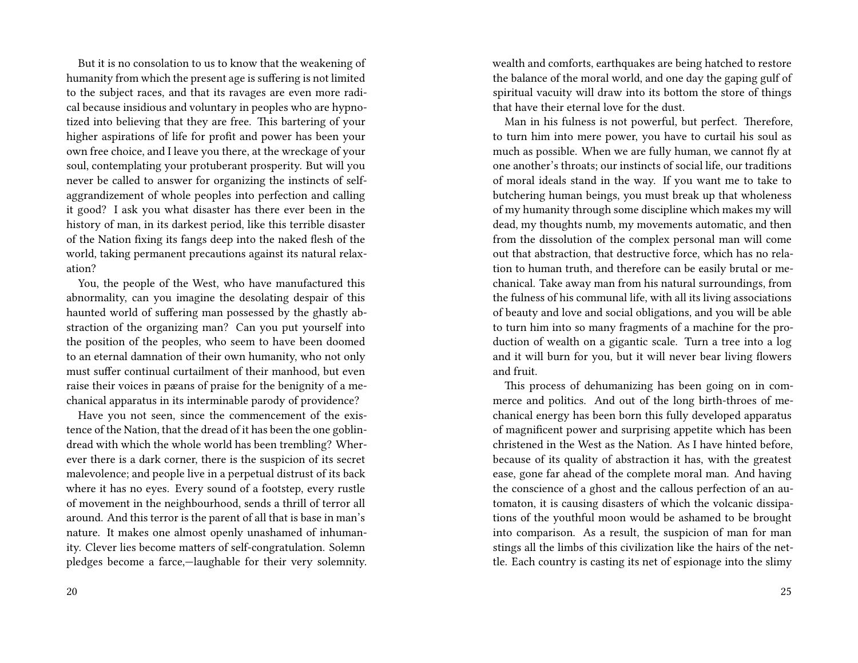But it is no consolation to us to know that the weakening of humanity from which the present age is suffering is not limited to the subject races, and that its ravages are even more radical because insidious and voluntary in peoples who are hypnotized into believing that they are free. This bartering of your higher aspirations of life for profit and power has been your own free choice, and I leave you there, at the wreckage of your soul, contemplating your protuberant prosperity. But will you never be called to answer for organizing the instincts of selfaggrandizement of whole peoples into perfection and calling it good? I ask you what disaster has there ever been in the history of man, in its darkest period, like this terrible disaster of the Nation fixing its fangs deep into the naked flesh of the world, taking permanent precautions against its natural relaxation?

You, the people of the West, who have manufactured this abnormality, can you imagine the desolating despair of this haunted world of suffering man possessed by the ghastly abstraction of the organizing man? Can you put yourself into the position of the peoples, who seem to have been doomed to an eternal damnation of their own humanity, who not only must suffer continual curtailment of their manhood, but even raise their voices in pæans of praise for the benignity of a mechanical apparatus in its interminable parody of providence?

Have you not seen, since the commencement of the existence of the Nation, that the dread of it has been the one goblindread with which the whole world has been trembling? Wherever there is a dark corner, there is the suspicion of its secret malevolence; and people live in a perpetual distrust of its back where it has no eyes. Every sound of a footstep, every rustle of movement in the neighbourhood, sends a thrill of terror all around. And this terror is the parent of all that is base in man's nature. It makes one almost openly unashamed of inhumanity. Clever lies become matters of self-congratulation. Solemn pledges become a farce,—laughable for their very solemnity. wealth and comforts, earthquakes are being hatched to restore the balance of the moral world, and one day the gaping gulf of spiritual vacuity will draw into its bottom the store of things that have their eternal love for the dust.

Man in his fulness is not powerful, but perfect. Therefore, to turn him into mere power, you have to curtail his soul as much as possible. When we are fully human, we cannot fly at one another's throats; our instincts of social life, our traditions of moral ideals stand in the way. If you want me to take to butchering human beings, you must break up that wholeness of my humanity through some discipline which makes my will dead, my thoughts numb, my movements automatic, and then from the dissolution of the complex personal man will come out that abstraction, that destructive force, which has no relation to human truth, and therefore can be easily brutal or mechanical. Take away man from his natural surroundings, from the fulness of his communal life, with all its living associations of beauty and love and social obligations, and you will be able to turn him into so many fragments of a machine for the production of wealth on a gigantic scale. Turn a tree into a log and it will burn for you, but it will never bear living flowers and fruit.

This process of dehumanizing has been going on in commerce and politics. And out of the long birth-throes of mechanical energy has been born this fully developed apparatus of magnificent power and surprising appetite which has been christened in the West as the Nation. As I have hinted before, because of its quality of abstraction it has, with the greatest ease, gone far ahead of the complete moral man. And having the conscience of a ghost and the callous perfection of an automaton, it is causing disasters of which the volcanic dissipations of the youthful moon would be ashamed to be brought into comparison. As a result, the suspicion of man for man stings all the limbs of this civilization like the hairs of the nettle. Each country is casting its net of espionage into the slimy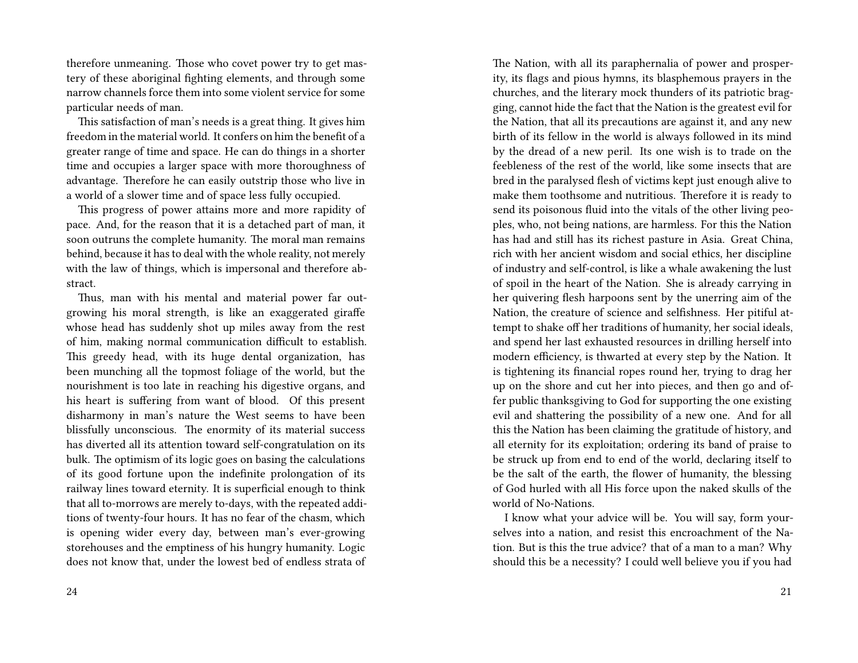therefore unmeaning. Those who covet power try to get mastery of these aboriginal fighting elements, and through some narrow channels force them into some violent service for some particular needs of man.

This satisfaction of man's needs is a great thing. It gives him freedom in the material world. It confers on him the benefit of a greater range of time and space. He can do things in a shorter time and occupies a larger space with more thoroughness of advantage. Therefore he can easily outstrip those who live in a world of a slower time and of space less fully occupied.

This progress of power attains more and more rapidity of pace. And, for the reason that it is a detached part of man, it soon outruns the complete humanity. The moral man remains behind, because it has to deal with the whole reality, not merely with the law of things, which is impersonal and therefore abstract.

Thus, man with his mental and material power far outgrowing his moral strength, is like an exaggerated giraffe whose head has suddenly shot up miles away from the rest of him, making normal communication difficult to establish. This greedy head, with its huge dental organization, has been munching all the topmost foliage of the world, but the nourishment is too late in reaching his digestive organs, and his heart is suffering from want of blood. Of this present disharmony in man's nature the West seems to have been blissfully unconscious. The enormity of its material success has diverted all its attention toward self-congratulation on its bulk. The optimism of its logic goes on basing the calculations of its good fortune upon the indefinite prolongation of its railway lines toward eternity. It is superficial enough to think that all to-morrows are merely to-days, with the repeated additions of twenty-four hours. It has no fear of the chasm, which is opening wider every day, between man's ever-growing storehouses and the emptiness of his hungry humanity. Logic does not know that, under the lowest bed of endless strata of The Nation, with all its paraphernalia of power and prosperity, its flags and pious hymns, its blasphemous prayers in the churches, and the literary mock thunders of its patriotic bragging, cannot hide the fact that the Nation is the greatest evil for the Nation, that all its precautions are against it, and any new birth of its fellow in the world is always followed in its mind by the dread of a new peril. Its one wish is to trade on the feebleness of the rest of the world, like some insects that are bred in the paralysed flesh of victims kept just enough alive to make them toothsome and nutritious. Therefore it is ready to send its poisonous fluid into the vitals of the other living peoples, who, not being nations, are harmless. For this the Nation has had and still has its richest pasture in Asia. Great China, rich with her ancient wisdom and social ethics, her discipline of industry and self-control, is like a whale awakening the lust of spoil in the heart of the Nation. She is already carrying in her quivering flesh harpoons sent by the unerring aim of the Nation, the creature of science and selfishness. Her pitiful attempt to shake off her traditions of humanity, her social ideals, and spend her last exhausted resources in drilling herself into modern efficiency, is thwarted at every step by the Nation. It is tightening its financial ropes round her, trying to drag her up on the shore and cut her into pieces, and then go and offer public thanksgiving to God for supporting the one existing evil and shattering the possibility of a new one. And for all this the Nation has been claiming the gratitude of history, and all eternity for its exploitation; ordering its band of praise to be struck up from end to end of the world, declaring itself to be the salt of the earth, the flower of humanity, the blessing of God hurled with all His force upon the naked skulls of the world of No-Nations.

I know what your advice will be. You will say, form yourselves into a nation, and resist this encroachment of the Nation. But is this the true advice? that of a man to a man? Why should this be a necessity? I could well believe you if you had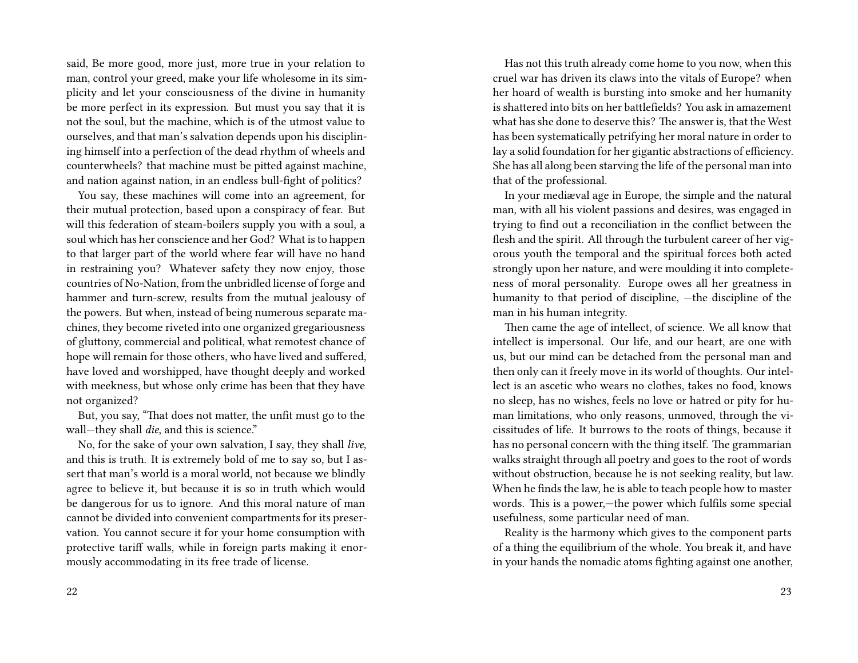said, Be more good, more just, more true in your relation to man, control your greed, make your life wholesome in its simplicity and let your consciousness of the divine in humanity be more perfect in its expression. But must you say that it is not the soul, but the machine, which is of the utmost value to ourselves, and that man's salvation depends upon his disciplining himself into a perfection of the dead rhythm of wheels and counterwheels? that machine must be pitted against machine, and nation against nation, in an endless bull-fight of politics?

You say, these machines will come into an agreement, for their mutual protection, based upon a conspiracy of fear. But will this federation of steam-boilers supply you with a soul, a soul which has her conscience and her God? What is to happen to that larger part of the world where fear will have no hand in restraining you? Whatever safety they now enjoy, those countries of No-Nation, from the unbridled license of forge and hammer and turn-screw, results from the mutual jealousy of the powers. But when, instead of being numerous separate machines, they become riveted into one organized gregariousness of gluttony, commercial and political, what remotest chance of hope will remain for those others, who have lived and suffered, have loved and worshipped, have thought deeply and worked with meekness, but whose only crime has been that they have not organized?

But, you say, "That does not matter, the unfit must go to the wall—they shall *die*, and this is science."

No, for the sake of your own salvation, I say, they shall *live*, and this is truth. It is extremely bold of me to say so, but I assert that man's world is a moral world, not because we blindly agree to believe it, but because it is so in truth which would be dangerous for us to ignore. And this moral nature of man cannot be divided into convenient compartments for its preservation. You cannot secure it for your home consumption with protective tariff walls, while in foreign parts making it enormously accommodating in its free trade of license.

Has not this truth already come home to you now, when this cruel war has driven its claws into the vitals of Europe? when her hoard of wealth is bursting into smoke and her humanity is shattered into bits on her battlefields? You ask in amazement what has she done to deserve this? The answer is, that the West has been systematically petrifying her moral nature in order to lay a solid foundation for her gigantic abstractions of efficiency. She has all along been starving the life of the personal man into that of the professional.

In your mediæval age in Europe, the simple and the natural man, with all his violent passions and desires, was engaged in trying to find out a reconciliation in the conflict between the flesh and the spirit. All through the turbulent career of her vigorous youth the temporal and the spiritual forces both acted strongly upon her nature, and were moulding it into completeness of moral personality. Europe owes all her greatness in humanity to that period of discipline, —the discipline of the man in his human integrity.

Then came the age of intellect, of science. We all know that intellect is impersonal. Our life, and our heart, are one with us, but our mind can be detached from the personal man and then only can it freely move in its world of thoughts. Our intellect is an ascetic who wears no clothes, takes no food, knows no sleep, has no wishes, feels no love or hatred or pity for human limitations, who only reasons, unmoved, through the vicissitudes of life. It burrows to the roots of things, because it has no personal concern with the thing itself. The grammarian walks straight through all poetry and goes to the root of words without obstruction, because he is not seeking reality, but law. When he finds the law, he is able to teach people how to master words. This is a power,—the power which fulfils some special usefulness, some particular need of man.

Reality is the harmony which gives to the component parts of a thing the equilibrium of the whole. You break it, and have in your hands the nomadic atoms fighting against one another,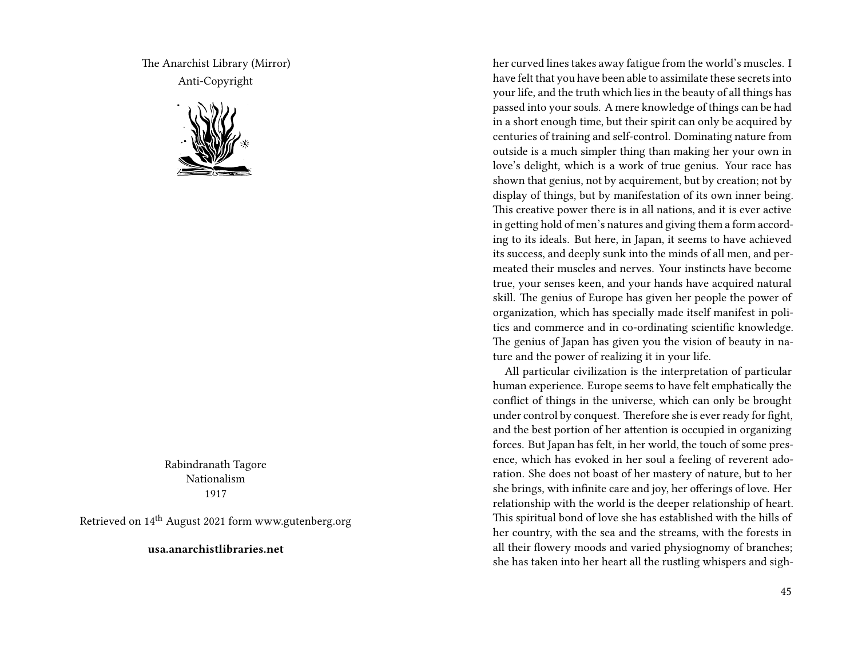The Anarchist Library (Mirror) Anti-Copyright



Rabindranath Tagore Nationalism 1917

Retrieved on 14th August 2021 form www.gutenberg.org

**usa.anarchistlibraries.net**

her curved lines takes away fatigue from the world's muscles. I have felt that you have been able to assimilate these secrets into your life, and the truth which lies in the beauty of all things has passed into your souls. A mere knowledge of things can be had in a short enough time, but their spirit can only be acquired by centuries of training and self-control. Dominating nature from outside is a much simpler thing than making her your own in love's delight, which is a work of true genius. Your race has shown that genius, not by acquirement, but by creation; not by display of things, but by manifestation of its own inner being. This creative power there is in all nations, and it is ever active in getting hold of men's natures and giving them a form according to its ideals. But here, in Japan, it seems to have achieved its success, and deeply sunk into the minds of all men, and permeated their muscles and nerves. Your instincts have become true, your senses keen, and your hands have acquired natural skill. The genius of Europe has given her people the power of organization, which has specially made itself manifest in politics and commerce and in co-ordinating scientific knowledge. The genius of Japan has given you the vision of beauty in nature and the power of realizing it in your life.

All particular civilization is the interpretation of particular human experience. Europe seems to have felt emphatically the conflict of things in the universe, which can only be brought under control by conquest. Therefore she is ever ready for fight, and the best portion of her attention is occupied in organizing forces. But Japan has felt, in her world, the touch of some presence, which has evoked in her soul a feeling of reverent adoration. She does not boast of her mastery of nature, but to her she brings, with infinite care and joy, her offerings of love. Her relationship with the world is the deeper relationship of heart. This spiritual bond of love she has established with the hills of her country, with the sea and the streams, with the forests in all their flowery moods and varied physiognomy of branches; she has taken into her heart all the rustling whispers and sigh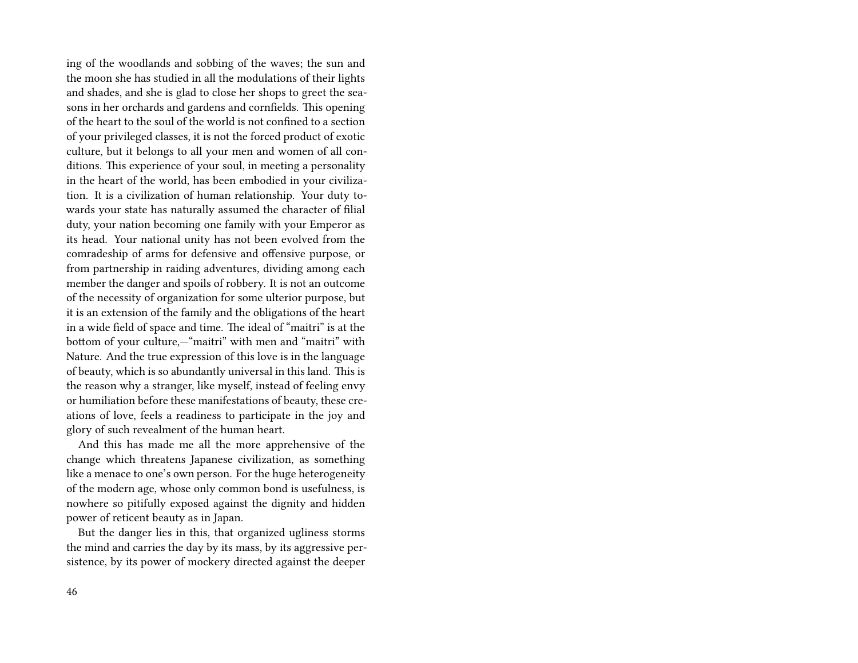ing of the woodlands and sobbing of the waves; the sun and the moon she has studied in all the modulations of their lights and shades, and she is glad to close her shops to greet the seasons in her orchards and gardens and cornfields. This opening of the heart to the soul of the world is not confined to a section of your privileged classes, it is not the forced product of exotic culture, but it belongs to all your men and women of all conditions. This experience of your soul, in meeting a personality in the heart of the world, has been embodied in your civilization. It is a civilization of human relationship. Your duty towards your state has naturally assumed the character of filial duty, your nation becoming one family with your Emperor as its head. Your national unity has not been evolved from the comradeship of arms for defensive and offensive purpose, or from partnership in raiding adventures, dividing among each member the danger and spoils of robbery. It is not an outcome of the necessity of organization for some ulterior purpose, but it is an extension of the family and the obligations of the heart in a wide field of space and time. The ideal of "maitri" is at the bottom of your culture,—"maitri" with men and "maitri" with Nature. And the true expression of this love is in the language of beauty, which is so abundantly universal in this land. This is the reason why a stranger, like myself, instead of feeling envy or humiliation before these manifestations of beauty, these creations of love, feels a readiness to participate in the joy and glory of such revealment of the human heart.

And this has made me all the more apprehensive of the change which threatens Japanese civilization, as something like a menace to one's own person. For the huge heterogeneity of the modern age, whose only common bond is usefulness, is nowhere so pitifully exposed against the dignity and hidden power of reticent beauty as in Japan.

But the danger lies in this, that organized ugliness storms the mind and carries the day by its mass, by its aggressive persistence, by its power of mockery directed against the deeper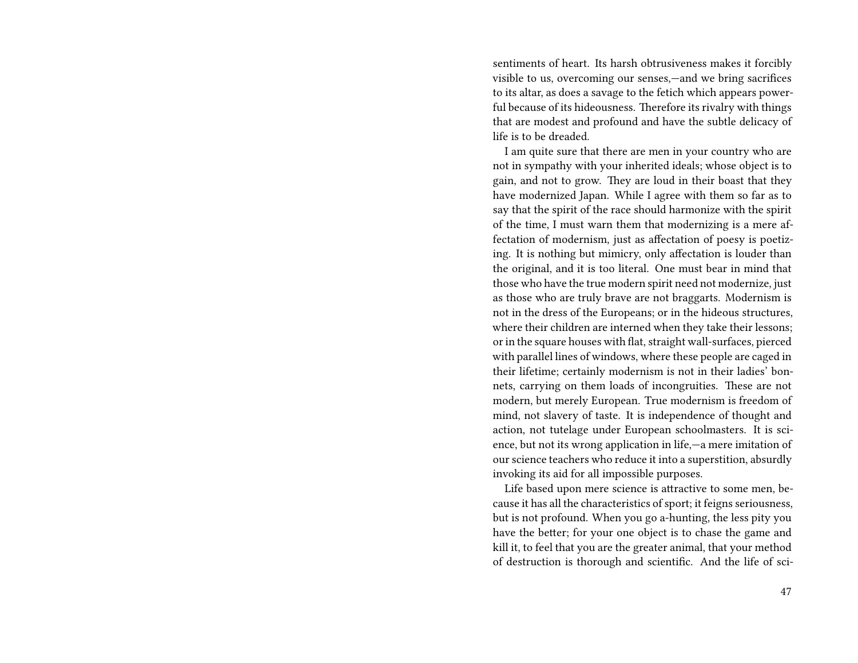sentiments of heart. Its harsh obtrusiveness makes it forcibly visible to us, overcoming our senses,—and we bring sacrifices to its altar, as does a savage to the fetich which appears powerful because of its hideousness. Therefore its rivalry with things that are modest and profound and have the subtle delicacy of life is to be dreaded.

I am quite sure that there are men in your country who are not in sympathy with your inherited ideals; whose object is to gain, and not to grow. They are loud in their boast that they have modernized Japan. While I agree with them so far as to say that the spirit of the race should harmonize with the spirit of the time, I must warn them that modernizing is a mere affectation of modernism, just as affectation of poesy is poetizing. It is nothing but mimicry, only affectation is louder than the original, and it is too literal. One must bear in mind that those who have the true modern spirit need not modernize, just as those who are truly brave are not braggarts. Modernism is not in the dress of the Europeans; or in the hideous structures, where their children are interned when they take their lessons; or in the square houses with flat, straight wall-surfaces, pierced with parallel lines of windows, where these people are caged in their lifetime; certainly modernism is not in their ladies' bonnets, carrying on them loads of incongruities. These are not modern, but merely European. True modernism is freedom of mind, not slavery of taste. It is independence of thought and action, not tutelage under European schoolmasters. It is science, but not its wrong application in life,—a mere imitation of our science teachers who reduce it into a superstition, absurdly invoking its aid for all impossible purposes.

Life based upon mere science is attractive to some men, because it has all the characteristics of sport; it feigns seriousness, but is not profound. When you go a-hunting, the less pity you have the better; for your one object is to chase the game and kill it, to feel that you are the greater animal, that your method of destruction is thorough and scientific. And the life of sci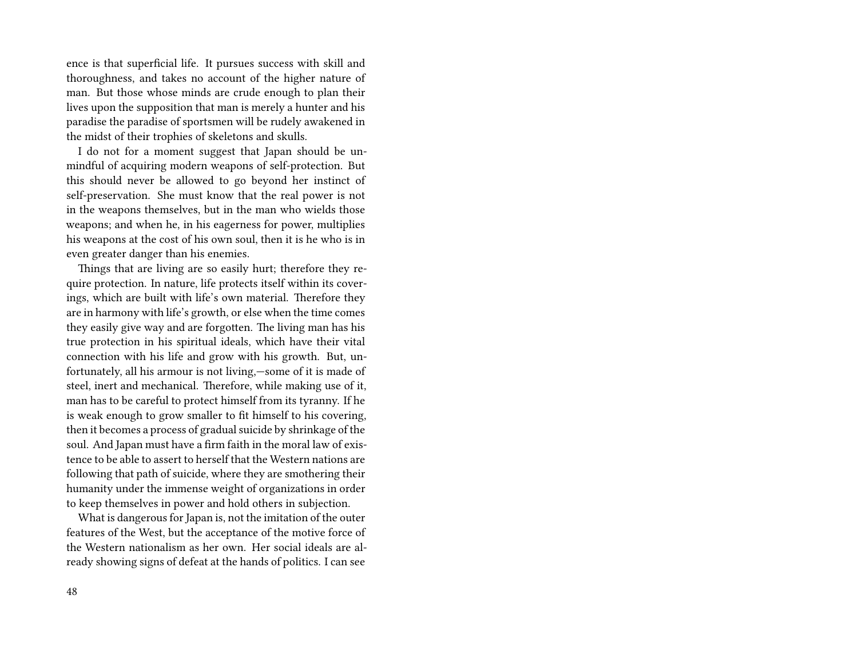ence is that superficial life. It pursues success with skill and thoroughness, and takes no account of the higher nature of man. But those whose minds are crude enough to plan their lives upon the supposition that man is merely a hunter and his paradise the paradise of sportsmen will be rudely awakened in the midst of their trophies of skeletons and skulls.

I do not for a moment suggest that Japan should be unmindful of acquiring modern weapons of self-protection. But this should never be allowed to go beyond her instinct of self-preservation. She must know that the real power is not in the weapons themselves, but in the man who wields those weapons; and when he, in his eagerness for power, multiplies his weapons at the cost of his own soul, then it is he who is in even greater danger than his enemies.

Things that are living are so easily hurt; therefore they require protection. In nature, life protects itself within its coverings, which are built with life's own material. Therefore they are in harmony with life's growth, or else when the time comes they easily give way and are forgotten. The living man has his true protection in his spiritual ideals, which have their vital connection with his life and grow with his growth. But, unfortunately, all his armour is not living,—some of it is made of steel, inert and mechanical. Therefore, while making use of it, man has to be careful to protect himself from its tyranny. If he is weak enough to grow smaller to fit himself to his covering, then it becomes a process of gradual suicide by shrinkage of the soul. And Japan must have a firm faith in the moral law of existence to be able to assert to herself that the Western nations are following that path of suicide, where they are smothering their humanity under the immense weight of organizations in order to keep themselves in power and hold others in subjection.

What is dangerous for Japan is, not the imitation of the outer features of the West, but the acceptance of the motive force of the Western nationalism as her own. Her social ideals are already showing signs of defeat at the hands of politics. I can see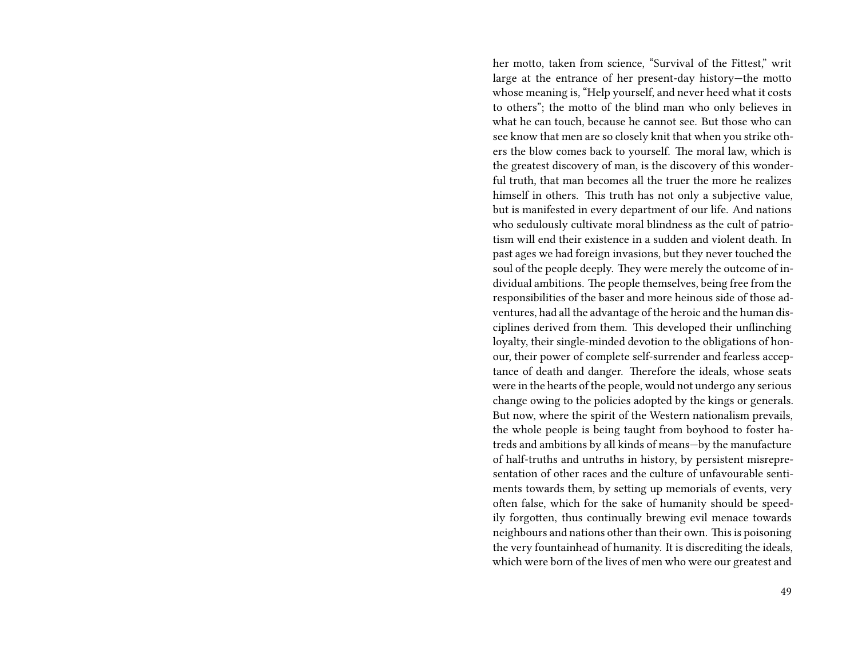her motto, taken from science, "Survival of the Fittest," writ large at the entrance of her present-day history—the motto whose meaning is, "Help yourself, and never heed what it costs to others"; the motto of the blind man who only believes in what he can touch, because he cannot see. But those who can see know that men are so closely knit that when you strike others the blow comes back to yourself. The moral law, which is the greatest discovery of man, is the discovery of this wonderful truth, that man becomes all the truer the more he realizes himself in others. This truth has not only a subjective value, but is manifested in every department of our life. And nations who sedulously cultivate moral blindness as the cult of patriotism will end their existence in a sudden and violent death. In past ages we had foreign invasions, but they never touched the soul of the people deeply. They were merely the outcome of individual ambitions. The people themselves, being free from the responsibilities of the baser and more heinous side of those adventures, had all the advantage of the heroic and the human disciplines derived from them. This developed their unflinching loyalty, their single-minded devotion to the obligations of honour, their power of complete self-surrender and fearless acceptance of death and danger. Therefore the ideals, whose seats were in the hearts of the people, would not undergo any serious change owing to the policies adopted by the kings or generals. But now, where the spirit of the Western nationalism prevails, the whole people is being taught from boyhood to foster hatreds and ambitions by all kinds of means—by the manufacture of half-truths and untruths in history, by persistent misrepresentation of other races and the culture of unfavourable sentiments towards them, by setting up memorials of events, very often false, which for the sake of humanity should be speedily forgotten, thus continually brewing evil menace towards neighbours and nations other than their own. This is poisoning the very fountainhead of humanity. It is discrediting the ideals, which were born of the lives of men who were our greatest and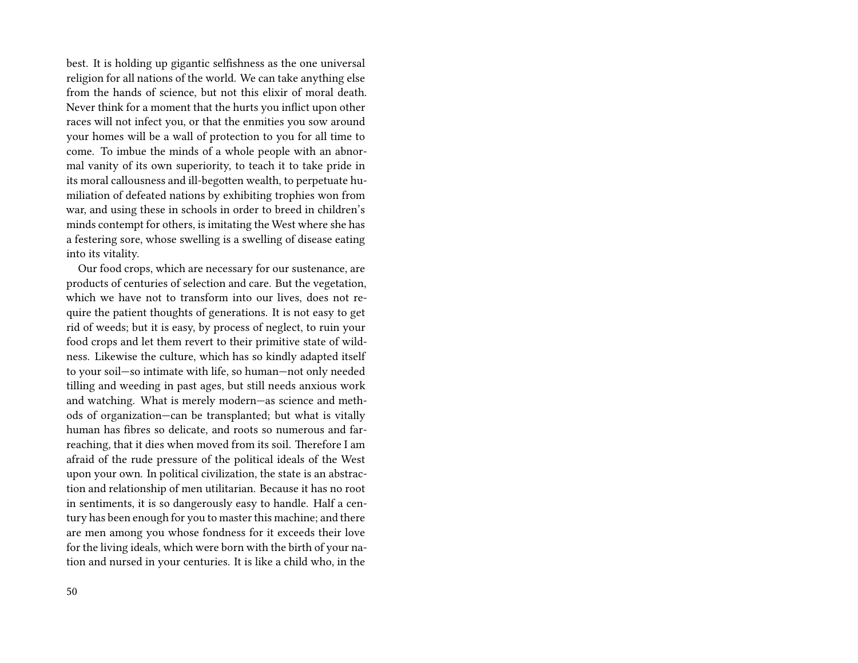best. It is holding up gigantic selfishness as the one universal religion for all nations of the world. We can take anything else from the hands of science, but not this elixir of moral death. Never think for a moment that the hurts you inflict upon other races will not infect you, or that the enmities you sow around your homes will be a wall of protection to you for all time to come. To imbue the minds of a whole people with an abnormal vanity of its own superiority, to teach it to take pride in its moral callousness and ill-begotten wealth, to perpetuate humiliation of defeated nations by exhibiting trophies won from war, and using these in schools in order to breed in children's minds contempt for others, is imitating the West where she has a festering sore, whose swelling is a swelling of disease eating into its vitality.

Our food crops, which are necessary for our sustenance, are products of centuries of selection and care. But the vegetation, which we have not to transform into our lives, does not require the patient thoughts of generations. It is not easy to get rid of weeds; but it is easy, by process of neglect, to ruin your food crops and let them revert to their primitive state of wildness. Likewise the culture, which has so kindly adapted itself to your soil—so intimate with life, so human—not only needed tilling and weeding in past ages, but still needs anxious work and watching. What is merely modern—as science and methods of organization—can be transplanted; but what is vitally human has fibres so delicate, and roots so numerous and farreaching, that it dies when moved from its soil. Therefore I am afraid of the rude pressure of the political ideals of the West upon your own. In political civilization, the state is an abstraction and relationship of men utilitarian. Because it has no root in sentiments, it is so dangerously easy to handle. Half a century has been enough for you to master this machine; and there are men among you whose fondness for it exceeds their love for the living ideals, which were born with the birth of your nation and nursed in your centuries. It is like a child who, in the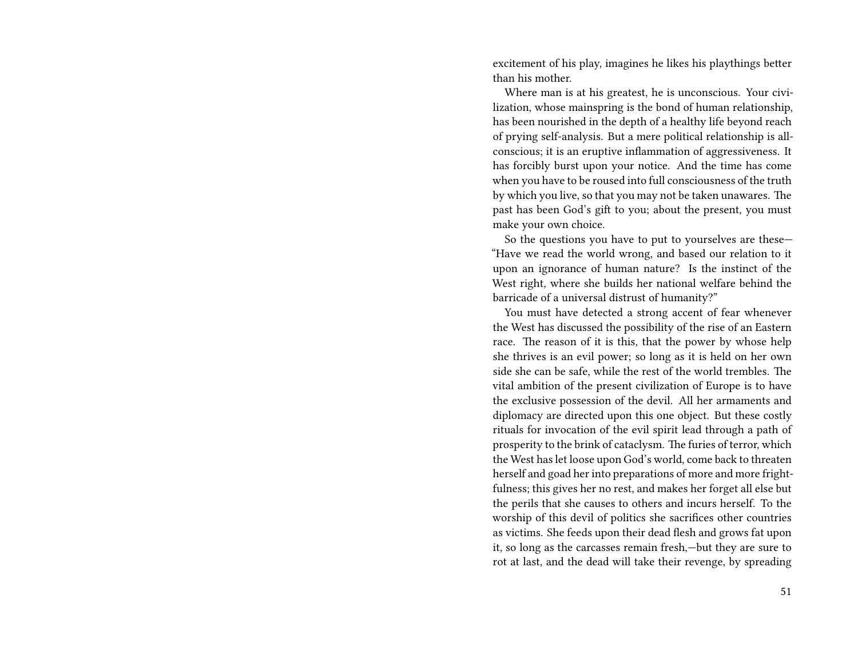excitement of his play, imagines he likes his playthings better than his mother.

Where man is at his greatest, he is unconscious. Your civilization, whose mainspring is the bond of human relationship, has been nourished in the depth of a healthy life beyond reach of prying self-analysis. But a mere political relationship is allconscious; it is an eruptive inflammation of aggressiveness. It has forcibly burst upon your notice. And the time has come when you have to be roused into full consciousness of the truth by which you live, so that you may not be taken unawares. The past has been God's gift to you; about the present, you must make your own choice.

So the questions you have to put to yourselves are these— "Have we read the world wrong, and based our relation to it upon an ignorance of human nature? Is the instinct of the West right, where she builds her national welfare behind the barricade of a universal distrust of humanity?"

You must have detected a strong accent of fear whenever the West has discussed the possibility of the rise of an Eastern race. The reason of it is this, that the power by whose help she thrives is an evil power; so long as it is held on her own side she can be safe, while the rest of the world trembles. The vital ambition of the present civilization of Europe is to have the exclusive possession of the devil. All her armaments and diplomacy are directed upon this one object. But these costly rituals for invocation of the evil spirit lead through a path of prosperity to the brink of cataclysm. The furies of terror, which the West has let loose upon God's world, come back to threaten herself and goad her into preparations of more and more frightfulness; this gives her no rest, and makes her forget all else but the perils that she causes to others and incurs herself. To the worship of this devil of politics she sacrifices other countries as victims. She feeds upon their dead flesh and grows fat upon it, so long as the carcasses remain fresh,—but they are sure to rot at last, and the dead will take their revenge, by spreading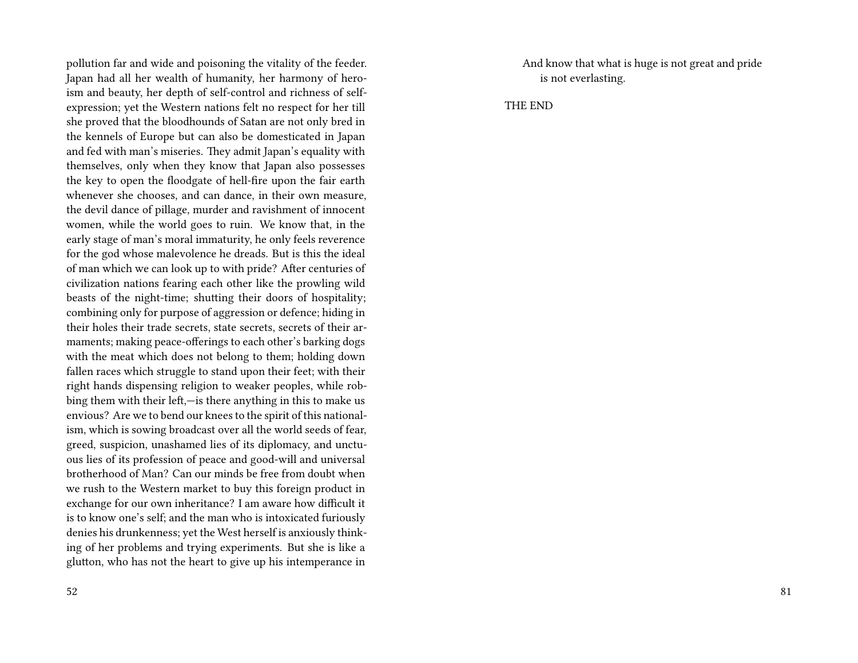pollution far and wide and poisoning the vitality of the feeder. Japan had all her wealth of humanity, her harmony of heroism and beauty, her depth of self-control and richness of selfexpression; yet the Western nations felt no respect for her till she proved that the bloodhounds of Satan are not only bred in the kennels of Europe but can also be domesticated in Japan and fed with man's miseries. They admit Japan's equality with themselves, only when they know that Japan also possesses the key to open the floodgate of hell-fire upon the fair earth whenever she chooses, and can dance, in their own measure, the devil dance of pillage, murder and ravishment of innocent women, while the world goes to ruin. We know that, in the early stage of man's moral immaturity, he only feels reverence for the god whose malevolence he dreads. But is this the ideal of man which we can look up to with pride? After centuries of civilization nations fearing each other like the prowling wild beasts of the night-time; shutting their doors of hospitality; combining only for purpose of aggression or defence; hiding in their holes their trade secrets, state secrets, secrets of their armaments; making peace-offerings to each other's barking dogs with the meat which does not belong to them; holding down fallen races which struggle to stand upon their feet; with their right hands dispensing religion to weaker peoples, while robbing them with their left,—is there anything in this to make us envious? Are we to bend our knees to the spirit of this nationalism, which is sowing broadcast over all the world seeds of fear, greed, suspicion, unashamed lies of its diplomacy, and unctuous lies of its profession of peace and good-will and universal brotherhood of Man? Can our minds be free from doubt when we rush to the Western market to buy this foreign product in exchange for our own inheritance? I am aware how difficult it is to know one's self; and the man who is intoxicated furiously denies his drunkenness; yet the West herself is anxiously thinking of her problems and trying experiments. But she is like a glutton, who has not the heart to give up his intemperance in

And know that what is huge is not great and pride is not everlasting.

THE END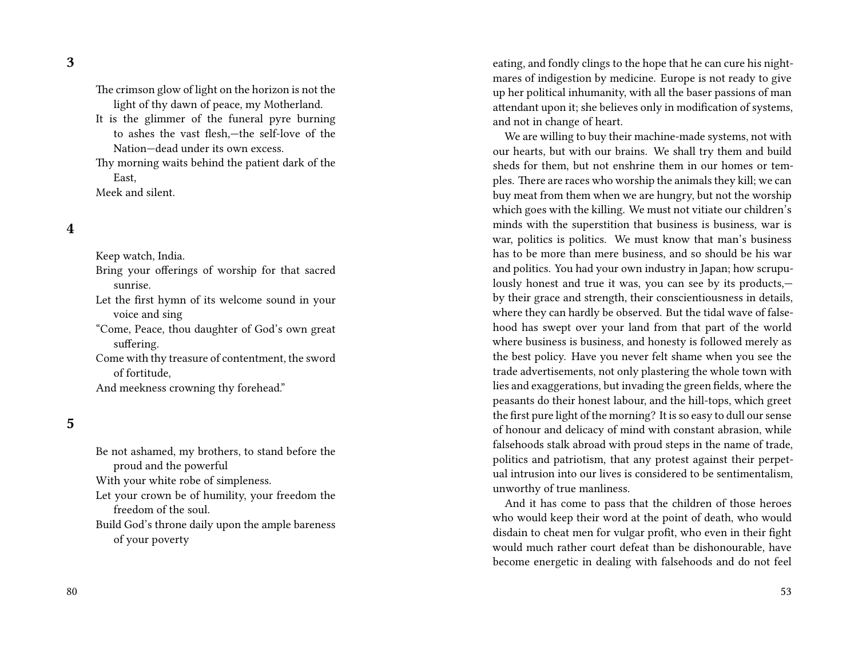**3**

The crimson glow of light on the horizon is not the light of thy dawn of peace, my Motherland. It is the glimmer of the funeral pyre burning to ashes the vast flesh,—the self-love of the Nation—dead under its own excess. Thy morning waits behind the patient dark of the

East,

Meek and silent.

#### **4**

Keep watch, India. Bring your offerings of worship for that sacred

sunrise. Let the first hymn of its welcome sound in your

voice and sing "Come, Peace, thou daughter of God's own great suffering.

Come with thy treasure of contentment, the sword of fortitude,

And meekness crowning thy forehead."

### **5**

Be not ashamed, my brothers, to stand before the proud and the powerful With your white robe of simpleness. Let your crown be of humility, your freedom the freedom of the soul. Build God's throne daily upon the ample bareness of your poverty

eating, and fondly clings to the hope that he can cure his nightmares of indigestion by medicine. Europe is not ready to give up her political inhumanity, with all the baser passions of man attendant upon it; she believes only in modification of systems, and not in change of heart.

We are willing to buy their machine-made systems, not with our hearts, but with our brains. We shall try them and build sheds for them, but not enshrine them in our homes or temples. There are races who worship the animals they kill; we can buy meat from them when we are hungry, but not the worship which goes with the killing. We must not vitiate our children's minds with the superstition that business is business, war is war, politics is politics. We must know that man's business has to be more than mere business, and so should be his war and politics. You had your own industry in Japan; how scrupulously honest and true it was, you can see by its products, by their grace and strength, their conscientiousness in details, where they can hardly be observed. But the tidal wave of falsehood has swept over your land from that part of the world where business is business, and honesty is followed merely as the best policy. Have you never felt shame when you see the trade advertisements, not only plastering the whole town with lies and exaggerations, but invading the green fields, where the peasants do their honest labour, and the hill-tops, which greet the first pure light of the morning? It is so easy to dull our sense of honour and delicacy of mind with constant abrasion, while falsehoods stalk abroad with proud steps in the name of trade, politics and patriotism, that any protest against their perpetual intrusion into our lives is considered to be sentimentalism, unworthy of true manliness.

And it has come to pass that the children of those heroes who would keep their word at the point of death, who would disdain to cheat men for vulgar profit, who even in their fight would much rather court defeat than be dishonourable, have become energetic in dealing with falsehoods and do not feel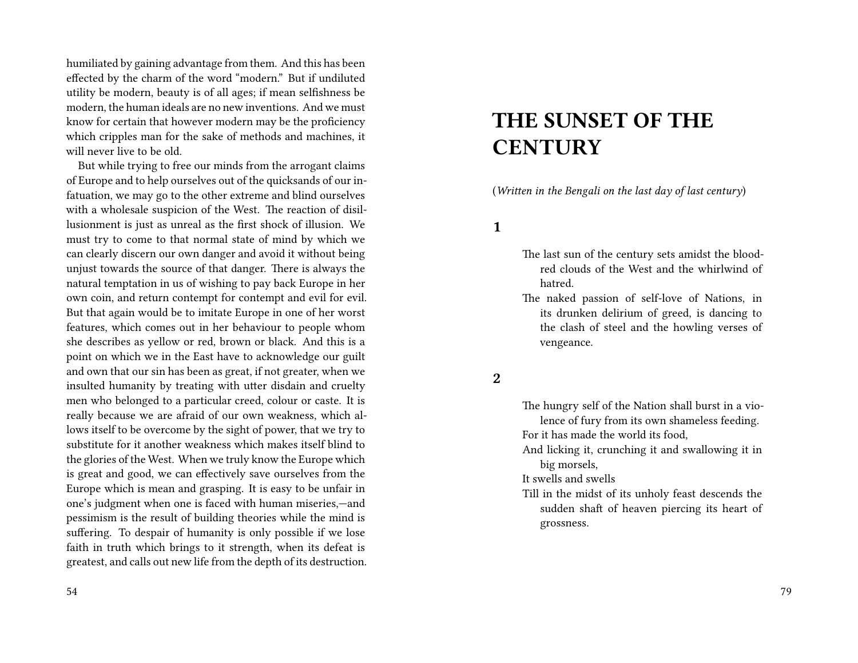humiliated by gaining advantage from them. And this has been effected by the charm of the word "modern." But if undiluted utility be modern, beauty is of all ages; if mean selfishness be modern, the human ideals are no new inventions. And we must know for certain that however modern may be the proficiency which cripples man for the sake of methods and machines, it will never live to be old.

But while trying to free our minds from the arrogant claims of Europe and to help ourselves out of the quicksands of our infatuation, we may go to the other extreme and blind ourselves with a wholesale suspicion of the West. The reaction of disillusionment is just as unreal as the first shock of illusion. We must try to come to that normal state of mind by which we can clearly discern our own danger and avoid it without being unjust towards the source of that danger. There is always the natural temptation in us of wishing to pay back Europe in her own coin, and return contempt for contempt and evil for evil. But that again would be to imitate Europe in one of her worst features, which comes out in her behaviour to people whom she describes as yellow or red, brown or black. And this is a point on which we in the East have to acknowledge our guilt and own that our sin has been as great, if not greater, when we insulted humanity by treating with utter disdain and cruelty men who belonged to a particular creed, colour or caste. It is really because we are afraid of our own weakness, which allows itself to be overcome by the sight of power, that we try to substitute for it another weakness which makes itself blind to the glories of the West. When we truly know the Europe which is great and good, we can effectively save ourselves from the Europe which is mean and grasping. It is easy to be unfair in one's judgment when one is faced with human miseries,—and pessimism is the result of building theories while the mind is suffering. To despair of humanity is only possible if we lose faith in truth which brings to it strength, when its defeat is greatest, and calls out new life from the depth of its destruction.

# **THE SUNSET OF THE CENTURY**

(*Written in the Bengali on the last day of last century*)

**1**

- The last sun of the century sets amidst the bloodred clouds of the West and the whirlwind of hatred.
- The naked passion of self-love of Nations, in its drunken delirium of greed, is dancing to the clash of steel and the howling verses of vengeance.

**2**

The hungry self of the Nation shall burst in a violence of fury from its own shameless feeding. For it has made the world its food,

And licking it, crunching it and swallowing it in big morsels,

It swells and swells

Till in the midst of its unholy feast descends the sudden shaft of heaven piercing its heart of grossness.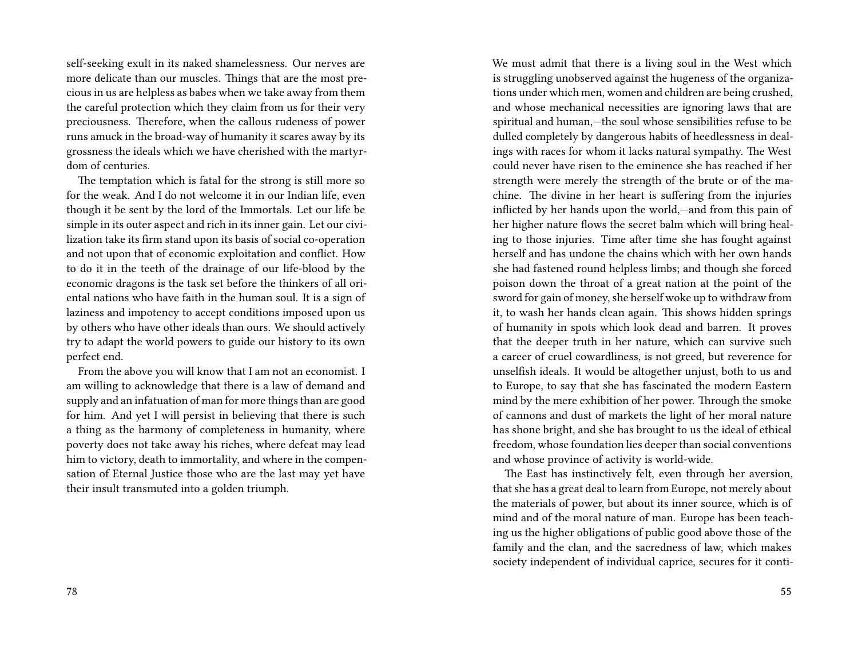self-seeking exult in its naked shamelessness. Our nerves are more delicate than our muscles. Things that are the most precious in us are helpless as babes when we take away from them the careful protection which they claim from us for their very preciousness. Therefore, when the callous rudeness of power runs amuck in the broad-way of humanity it scares away by its grossness the ideals which we have cherished with the martyrdom of centuries.

The temptation which is fatal for the strong is still more so for the weak. And I do not welcome it in our Indian life, even though it be sent by the lord of the Immortals. Let our life be simple in its outer aspect and rich in its inner gain. Let our civilization take its firm stand upon its basis of social co-operation and not upon that of economic exploitation and conflict. How to do it in the teeth of the drainage of our life-blood by the economic dragons is the task set before the thinkers of all oriental nations who have faith in the human soul. It is a sign of laziness and impotency to accept conditions imposed upon us by others who have other ideals than ours. We should actively try to adapt the world powers to guide our history to its own perfect end.

From the above you will know that I am not an economist. I am willing to acknowledge that there is a law of demand and supply and an infatuation of man for more things than are good for him. And yet I will persist in believing that there is such a thing as the harmony of completeness in humanity, where poverty does not take away his riches, where defeat may lead him to victory, death to immortality, and where in the compensation of Eternal Justice those who are the last may yet have their insult transmuted into a golden triumph.

We must admit that there is a living soul in the West which is struggling unobserved against the hugeness of the organizations under which men, women and children are being crushed, and whose mechanical necessities are ignoring laws that are spiritual and human,—the soul whose sensibilities refuse to be dulled completely by dangerous habits of heedlessness in dealings with races for whom it lacks natural sympathy. The West could never have risen to the eminence she has reached if her strength were merely the strength of the brute or of the machine. The divine in her heart is suffering from the injuries inflicted by her hands upon the world,—and from this pain of her higher nature flows the secret balm which will bring healing to those injuries. Time after time she has fought against herself and has undone the chains which with her own hands she had fastened round helpless limbs; and though she forced poison down the throat of a great nation at the point of the sword for gain of money, she herself woke up to withdraw from it, to wash her hands clean again. This shows hidden springs of humanity in spots which look dead and barren. It proves that the deeper truth in her nature, which can survive such a career of cruel cowardliness, is not greed, but reverence for unselfish ideals. It would be altogether unjust, both to us and to Europe, to say that she has fascinated the modern Eastern mind by the mere exhibition of her power. Through the smoke of cannons and dust of markets the light of her moral nature has shone bright, and she has brought to us the ideal of ethical freedom, whose foundation lies deeper than social conventions and whose province of activity is world-wide.

The East has instinctively felt, even through her aversion, that she has a great deal to learn from Europe, not merely about the materials of power, but about its inner source, which is of mind and of the moral nature of man. Europe has been teaching us the higher obligations of public good above those of the family and the clan, and the sacredness of law, which makes society independent of individual caprice, secures for it conti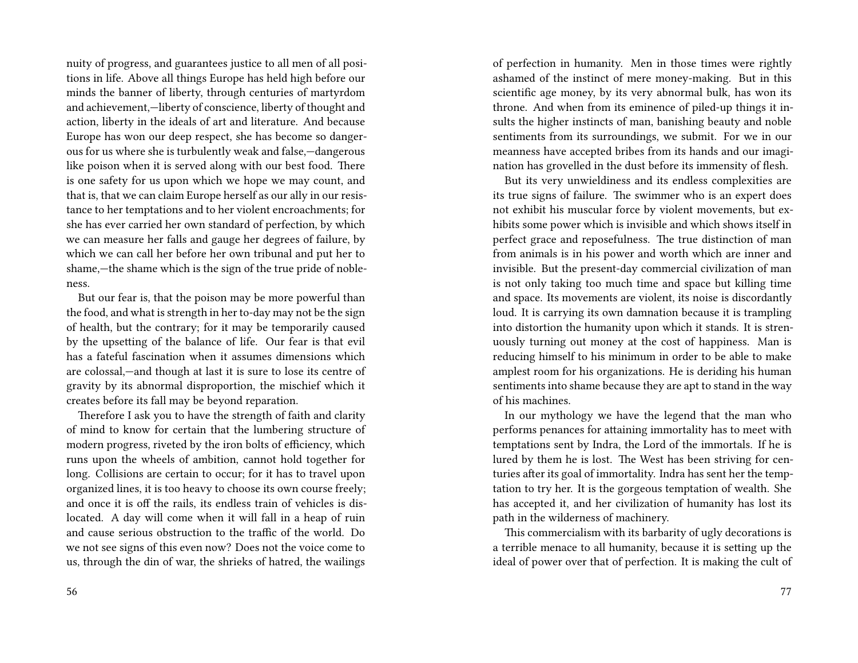nuity of progress, and guarantees justice to all men of all positions in life. Above all things Europe has held high before our minds the banner of liberty, through centuries of martyrdom and achievement,—liberty of conscience, liberty of thought and action, liberty in the ideals of art and literature. And because Europe has won our deep respect, she has become so dangerous for us where she is turbulently weak and false,—dangerous like poison when it is served along with our best food. There is one safety for us upon which we hope we may count, and that is, that we can claim Europe herself as our ally in our resistance to her temptations and to her violent encroachments; for she has ever carried her own standard of perfection, by which we can measure her falls and gauge her degrees of failure, by which we can call her before her own tribunal and put her to shame,—the shame which is the sign of the true pride of nobleness.

But our fear is, that the poison may be more powerful than the food, and what is strength in her to-day may not be the sign of health, but the contrary; for it may be temporarily caused by the upsetting of the balance of life. Our fear is that evil has a fateful fascination when it assumes dimensions which are colossal,—and though at last it is sure to lose its centre of gravity by its abnormal disproportion, the mischief which it creates before its fall may be beyond reparation.

Therefore I ask you to have the strength of faith and clarity of mind to know for certain that the lumbering structure of modern progress, riveted by the iron bolts of efficiency, which runs upon the wheels of ambition, cannot hold together for long. Collisions are certain to occur; for it has to travel upon organized lines, it is too heavy to choose its own course freely; and once it is off the rails, its endless train of vehicles is dislocated. A day will come when it will fall in a heap of ruin and cause serious obstruction to the traffic of the world. Do we not see signs of this even now? Does not the voice come to us, through the din of war, the shrieks of hatred, the wailings

of perfection in humanity. Men in those times were rightly ashamed of the instinct of mere money-making. But in this scientific age money, by its very abnormal bulk, has won its throne. And when from its eminence of piled-up things it insults the higher instincts of man, banishing beauty and noble sentiments from its surroundings, we submit. For we in our meanness have accepted bribes from its hands and our imagination has grovelled in the dust before its immensity of flesh.

But its very unwieldiness and its endless complexities are its true signs of failure. The swimmer who is an expert does not exhibit his muscular force by violent movements, but exhibits some power which is invisible and which shows itself in perfect grace and reposefulness. The true distinction of man from animals is in his power and worth which are inner and invisible. But the present-day commercial civilization of man is not only taking too much time and space but killing time and space. Its movements are violent, its noise is discordantly loud. It is carrying its own damnation because it is trampling into distortion the humanity upon which it stands. It is strenuously turning out money at the cost of happiness. Man is reducing himself to his minimum in order to be able to make amplest room for his organizations. He is deriding his human sentiments into shame because they are apt to stand in the way of his machines.

In our mythology we have the legend that the man who performs penances for attaining immortality has to meet with temptations sent by Indra, the Lord of the immortals. If he is lured by them he is lost. The West has been striving for centuries after its goal of immortality. Indra has sent her the temptation to try her. It is the gorgeous temptation of wealth. She has accepted it, and her civilization of humanity has lost its path in the wilderness of machinery.

This commercialism with its barbarity of ugly decorations is a terrible menace to all humanity, because it is setting up the ideal of power over that of perfection. It is making the cult of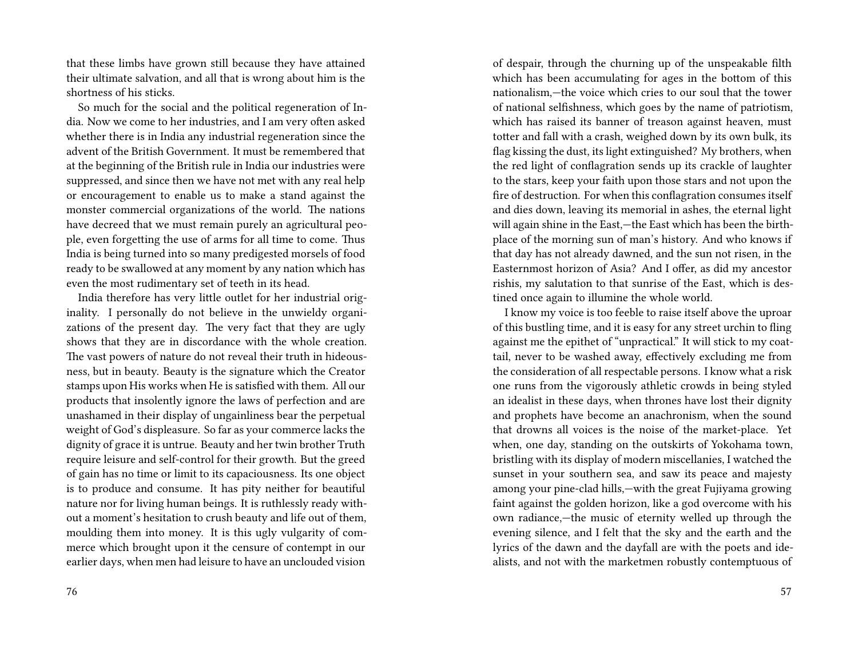that these limbs have grown still because they have attained their ultimate salvation, and all that is wrong about him is the shortness of his sticks.

So much for the social and the political regeneration of India. Now we come to her industries, and I am very often asked whether there is in India any industrial regeneration since the advent of the British Government. It must be remembered that at the beginning of the British rule in India our industries were suppressed, and since then we have not met with any real help or encouragement to enable us to make a stand against the monster commercial organizations of the world. The nations have decreed that we must remain purely an agricultural people, even forgetting the use of arms for all time to come. Thus India is being turned into so many predigested morsels of food ready to be swallowed at any moment by any nation which has even the most rudimentary set of teeth in its head.

India therefore has very little outlet for her industrial originality. I personally do not believe in the unwieldy organizations of the present day. The very fact that they are ugly shows that they are in discordance with the whole creation. The vast powers of nature do not reveal their truth in hideousness, but in beauty. Beauty is the signature which the Creator stamps upon His works when He is satisfied with them. All our products that insolently ignore the laws of perfection and are unashamed in their display of ungainliness bear the perpetual weight of God's displeasure. So far as your commerce lacks the dignity of grace it is untrue. Beauty and her twin brother Truth require leisure and self-control for their growth. But the greed of gain has no time or limit to its capaciousness. Its one object is to produce and consume. It has pity neither for beautiful nature nor for living human beings. It is ruthlessly ready without a moment's hesitation to crush beauty and life out of them, moulding them into money. It is this ugly vulgarity of commerce which brought upon it the censure of contempt in our earlier days, when men had leisure to have an unclouded vision

of despair, through the churning up of the unspeakable filth which has been accumulating for ages in the bottom of this nationalism,—the voice which cries to our soul that the tower of national selfishness, which goes by the name of patriotism, which has raised its banner of treason against heaven, must totter and fall with a crash, weighed down by its own bulk, its flag kissing the dust, its light extinguished? My brothers, when the red light of conflagration sends up its crackle of laughter to the stars, keep your faith upon those stars and not upon the fire of destruction. For when this conflagration consumes itself and dies down, leaving its memorial in ashes, the eternal light will again shine in the East,—the East which has been the birthplace of the morning sun of man's history. And who knows if that day has not already dawned, and the sun not risen, in the Easternmost horizon of Asia? And I offer, as did my ancestor rishis, my salutation to that sunrise of the East, which is destined once again to illumine the whole world.

I know my voice is too feeble to raise itself above the uproar of this bustling time, and it is easy for any street urchin to fling against me the epithet of "unpractical." It will stick to my coattail, never to be washed away, effectively excluding me from the consideration of all respectable persons. I know what a risk one runs from the vigorously athletic crowds in being styled an idealist in these days, when thrones have lost their dignity and prophets have become an anachronism, when the sound that drowns all voices is the noise of the market-place. Yet when, one day, standing on the outskirts of Yokohama town, bristling with its display of modern miscellanies, I watched the sunset in your southern sea, and saw its peace and majesty among your pine-clad hills,—with the great Fujiyama growing faint against the golden horizon, like a god overcome with his own radiance,—the music of eternity welled up through the evening silence, and I felt that the sky and the earth and the lyrics of the dawn and the dayfall are with the poets and idealists, and not with the marketmen robustly contemptuous of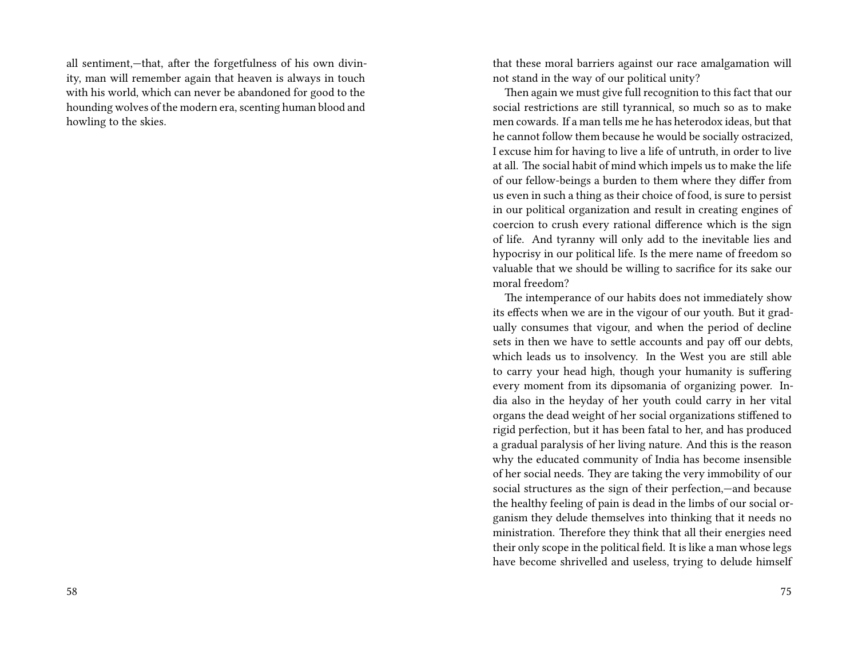all sentiment,—that, after the forgetfulness of his own divinity, man will remember again that heaven is always in touch with his world, which can never be abandoned for good to the hounding wolves of the modern era, scenting human blood and howling to the skies.

that these moral barriers against our race amalgamation will not stand in the way of our political unity?

Then again we must give full recognition to this fact that our social restrictions are still tyrannical, so much so as to make men cowards. If a man tells me he has heterodox ideas, but that he cannot follow them because he would be socially ostracized, I excuse him for having to live a life of untruth, in order to live at all. The social habit of mind which impels us to make the life of our fellow-beings a burden to them where they differ from us even in such a thing as their choice of food, is sure to persist in our political organization and result in creating engines of coercion to crush every rational difference which is the sign of life. And tyranny will only add to the inevitable lies and hypocrisy in our political life. Is the mere name of freedom so valuable that we should be willing to sacrifice for its sake our moral freedom?

The intemperance of our habits does not immediately show its effects when we are in the vigour of our youth. But it gradually consumes that vigour, and when the period of decline sets in then we have to settle accounts and pay off our debts, which leads us to insolvency. In the West you are still able to carry your head high, though your humanity is suffering every moment from its dipsomania of organizing power. India also in the heyday of her youth could carry in her vital organs the dead weight of her social organizations stiffened to rigid perfection, but it has been fatal to her, and has produced a gradual paralysis of her living nature. And this is the reason why the educated community of India has become insensible of her social needs. They are taking the very immobility of our social structures as the sign of their perfection,—and because the healthy feeling of pain is dead in the limbs of our social organism they delude themselves into thinking that it needs no ministration. Therefore they think that all their energies need their only scope in the political field. It is like a man whose legs have become shrivelled and useless, trying to delude himself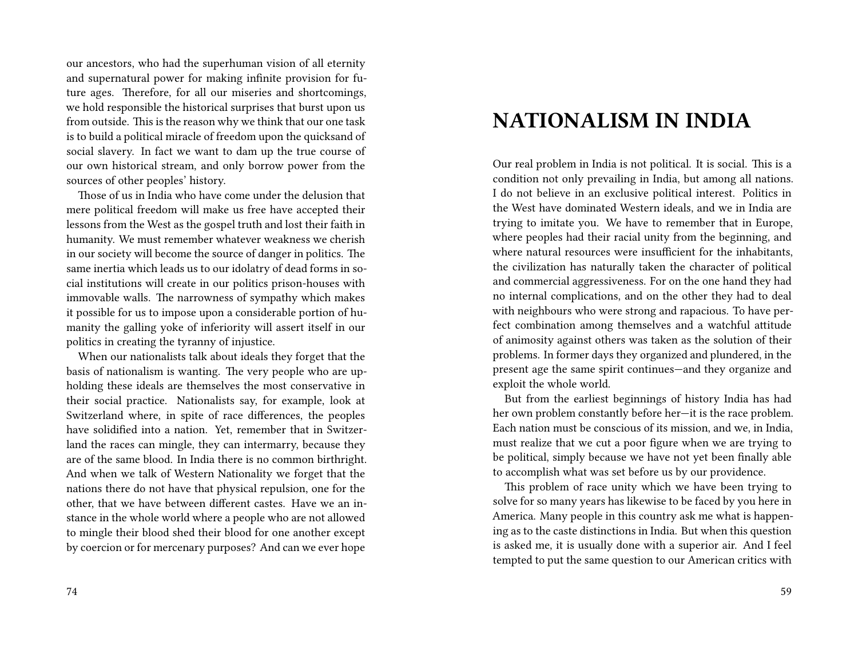our ancestors, who had the superhuman vision of all eternity and supernatural power for making infinite provision for future ages. Therefore, for all our miseries and shortcomings, we hold responsible the historical surprises that burst upon us from outside. This is the reason why we think that our one task is to build a political miracle of freedom upon the quicksand of social slavery. In fact we want to dam up the true course of our own historical stream, and only borrow power from the sources of other peoples' history.

Those of us in India who have come under the delusion that mere political freedom will make us free have accepted their lessons from the West as the gospel truth and lost their faith in humanity. We must remember whatever weakness we cherish in our society will become the source of danger in politics. The same inertia which leads us to our idolatry of dead forms in social institutions will create in our politics prison-houses with immovable walls. The narrowness of sympathy which makes it possible for us to impose upon a considerable portion of humanity the galling yoke of inferiority will assert itself in our politics in creating the tyranny of injustice.

When our nationalists talk about ideals they forget that the basis of nationalism is wanting. The very people who are upholding these ideals are themselves the most conservative in their social practice. Nationalists say, for example, look at Switzerland where, in spite of race differences, the peoples have solidified into a nation. Yet, remember that in Switzerland the races can mingle, they can intermarry, because they are of the same blood. In India there is no common birthright. And when we talk of Western Nationality we forget that the nations there do not have that physical repulsion, one for the other, that we have between different castes. Have we an instance in the whole world where a people who are not allowed to mingle their blood shed their blood for one another except by coercion or for mercenary purposes? And can we ever hope

# **NATIONALISM IN INDIA**

Our real problem in India is not political. It is social. This is a condition not only prevailing in India, but among all nations. I do not believe in an exclusive political interest. Politics in the West have dominated Western ideals, and we in India are trying to imitate you. We have to remember that in Europe, where peoples had their racial unity from the beginning, and where natural resources were insufficient for the inhabitants, the civilization has naturally taken the character of political and commercial aggressiveness. For on the one hand they had no internal complications, and on the other they had to deal with neighbours who were strong and rapacious. To have perfect combination among themselves and a watchful attitude of animosity against others was taken as the solution of their problems. In former days they organized and plundered, in the present age the same spirit continues—and they organize and exploit the whole world.

But from the earliest beginnings of history India has had her own problem constantly before her—it is the race problem. Each nation must be conscious of its mission, and we, in India, must realize that we cut a poor figure when we are trying to be political, simply because we have not yet been finally able to accomplish what was set before us by our providence.

This problem of race unity which we have been trying to solve for so many years has likewise to be faced by you here in America. Many people in this country ask me what is happening as to the caste distinctions in India. But when this question is asked me, it is usually done with a superior air. And I feel tempted to put the same question to our American critics with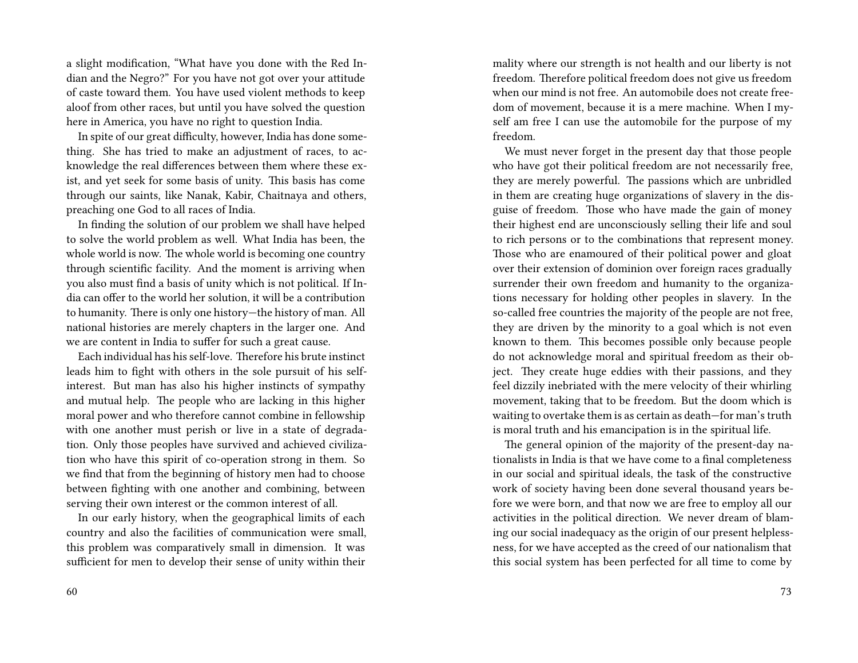a slight modification, "What have you done with the Red Indian and the Negro?" For you have not got over your attitude of caste toward them. You have used violent methods to keep aloof from other races, but until you have solved the question here in America, you have no right to question India.

In spite of our great difficulty, however, India has done something. She has tried to make an adjustment of races, to acknowledge the real differences between them where these exist, and yet seek for some basis of unity. This basis has come through our saints, like Nanak, Kabir, Chaitnaya and others, preaching one God to all races of India.

In finding the solution of our problem we shall have helped to solve the world problem as well. What India has been, the whole world is now. The whole world is becoming one country through scientific facility. And the moment is arriving when you also must find a basis of unity which is not political. If India can offer to the world her solution, it will be a contribution to humanity. There is only one history—the history of man. All national histories are merely chapters in the larger one. And we are content in India to suffer for such a great cause.

Each individual has his self-love. Therefore his brute instinct leads him to fight with others in the sole pursuit of his selfinterest. But man has also his higher instincts of sympathy and mutual help. The people who are lacking in this higher moral power and who therefore cannot combine in fellowship with one another must perish or live in a state of degradation. Only those peoples have survived and achieved civilization who have this spirit of co-operation strong in them. So we find that from the beginning of history men had to choose between fighting with one another and combining, between serving their own interest or the common interest of all.

In our early history, when the geographical limits of each country and also the facilities of communication were small, this problem was comparatively small in dimension. It was sufficient for men to develop their sense of unity within their

mality where our strength is not health and our liberty is not freedom. Therefore political freedom does not give us freedom when our mind is not free. An automobile does not create freedom of movement, because it is a mere machine. When I myself am free I can use the automobile for the purpose of my freedom.

We must never forget in the present day that those people who have got their political freedom are not necessarily free, they are merely powerful. The passions which are unbridled in them are creating huge organizations of slavery in the disguise of freedom. Those who have made the gain of money their highest end are unconsciously selling their life and soul to rich persons or to the combinations that represent money. Those who are enamoured of their political power and gloat over their extension of dominion over foreign races gradually surrender their own freedom and humanity to the organizations necessary for holding other peoples in slavery. In the so-called free countries the majority of the people are not free, they are driven by the minority to a goal which is not even known to them. This becomes possible only because people do not acknowledge moral and spiritual freedom as their object. They create huge eddies with their passions, and they feel dizzily inebriated with the mere velocity of their whirling movement, taking that to be freedom. But the doom which is waiting to overtake them is as certain as death—for man's truth is moral truth and his emancipation is in the spiritual life.

The general opinion of the majority of the present-day nationalists in India is that we have come to a final completeness in our social and spiritual ideals, the task of the constructive work of society having been done several thousand years before we were born, and that now we are free to employ all our activities in the political direction. We never dream of blaming our social inadequacy as the origin of our present helplessness, for we have accepted as the creed of our nationalism that this social system has been perfected for all time to come by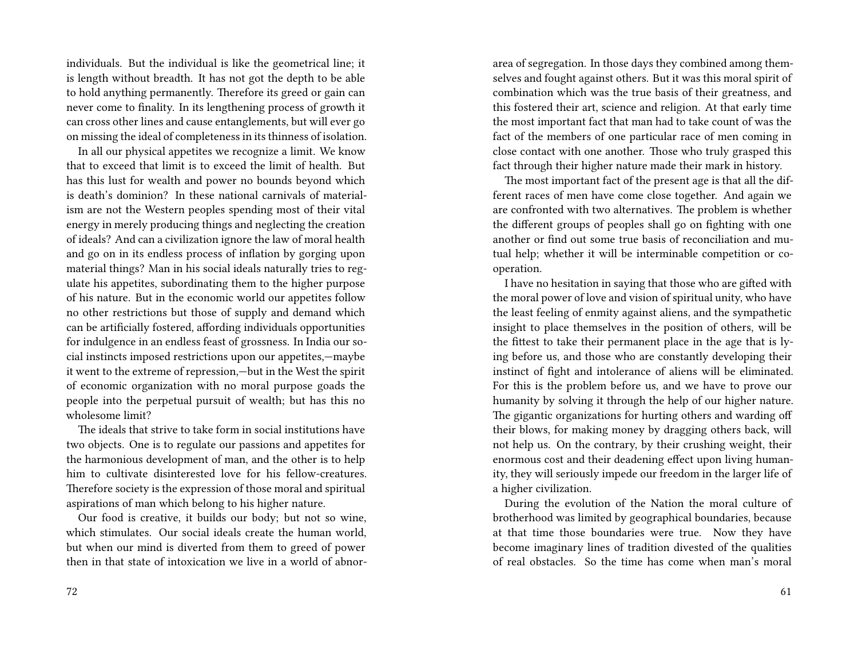individuals. But the individual is like the geometrical line; it is length without breadth. It has not got the depth to be able to hold anything permanently. Therefore its greed or gain can never come to finality. In its lengthening process of growth it can cross other lines and cause entanglements, but will ever go on missing the ideal of completeness in its thinness of isolation.

In all our physical appetites we recognize a limit. We know that to exceed that limit is to exceed the limit of health. But has this lust for wealth and power no bounds beyond which is death's dominion? In these national carnivals of materialism are not the Western peoples spending most of their vital energy in merely producing things and neglecting the creation of ideals? And can a civilization ignore the law of moral health and go on in its endless process of inflation by gorging upon material things? Man in his social ideals naturally tries to regulate his appetites, subordinating them to the higher purpose of his nature. But in the economic world our appetites follow no other restrictions but those of supply and demand which can be artificially fostered, affording individuals opportunities for indulgence in an endless feast of grossness. In India our social instincts imposed restrictions upon our appetites,—maybe it went to the extreme of repression,—but in the West the spirit of economic organization with no moral purpose goads the people into the perpetual pursuit of wealth; but has this no wholesome limit?

The ideals that strive to take form in social institutions have two objects. One is to regulate our passions and appetites for the harmonious development of man, and the other is to help him to cultivate disinterested love for his fellow-creatures. Therefore society is the expression of those moral and spiritual aspirations of man which belong to his higher nature.

Our food is creative, it builds our body; but not so wine, which stimulates. Our social ideals create the human world, but when our mind is diverted from them to greed of power then in that state of intoxication we live in a world of abnorarea of segregation. In those days they combined among themselves and fought against others. But it was this moral spirit of combination which was the true basis of their greatness, and this fostered their art, science and religion. At that early time the most important fact that man had to take count of was the fact of the members of one particular race of men coming in close contact with one another. Those who truly grasped this fact through their higher nature made their mark in history.

The most important fact of the present age is that all the different races of men have come close together. And again we are confronted with two alternatives. The problem is whether the different groups of peoples shall go on fighting with one another or find out some true basis of reconciliation and mutual help; whether it will be interminable competition or cooperation.

I have no hesitation in saying that those who are gifted with the moral power of love and vision of spiritual unity, who have the least feeling of enmity against aliens, and the sympathetic insight to place themselves in the position of others, will be the fittest to take their permanent place in the age that is lying before us, and those who are constantly developing their instinct of fight and intolerance of aliens will be eliminated. For this is the problem before us, and we have to prove our humanity by solving it through the help of our higher nature. The gigantic organizations for hurting others and warding off their blows, for making money by dragging others back, will not help us. On the contrary, by their crushing weight, their enormous cost and their deadening effect upon living humanity, they will seriously impede our freedom in the larger life of a higher civilization.

During the evolution of the Nation the moral culture of brotherhood was limited by geographical boundaries, because at that time those boundaries were true. Now they have become imaginary lines of tradition divested of the qualities of real obstacles. So the time has come when man's moral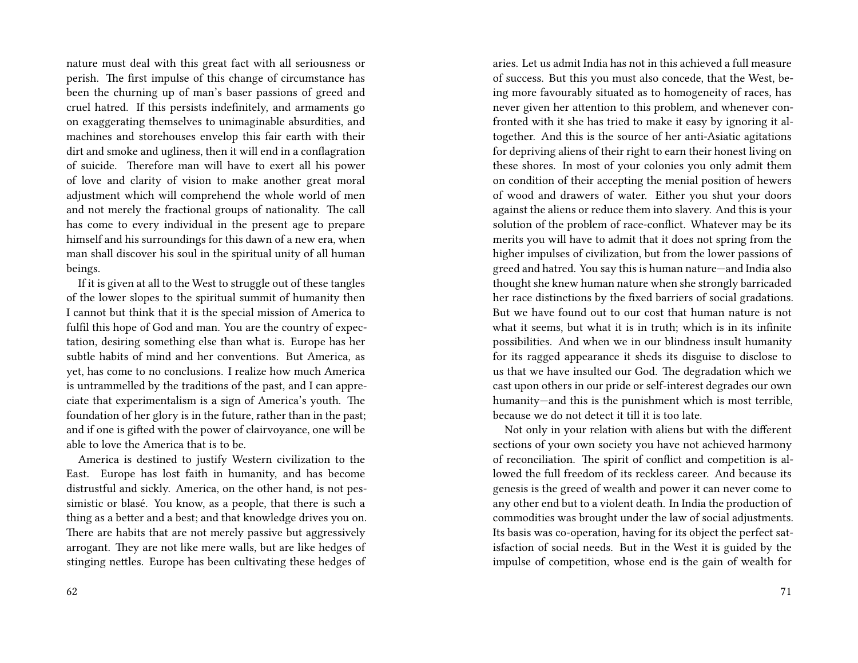nature must deal with this great fact with all seriousness or perish. The first impulse of this change of circumstance has been the churning up of man's baser passions of greed and cruel hatred. If this persists indefinitely, and armaments go on exaggerating themselves to unimaginable absurdities, and machines and storehouses envelop this fair earth with their dirt and smoke and ugliness, then it will end in a conflagration of suicide. Therefore man will have to exert all his power of love and clarity of vision to make another great moral adjustment which will comprehend the whole world of men and not merely the fractional groups of nationality. The call has come to every individual in the present age to prepare himself and his surroundings for this dawn of a new era, when man shall discover his soul in the spiritual unity of all human beings.

If it is given at all to the West to struggle out of these tangles of the lower slopes to the spiritual summit of humanity then I cannot but think that it is the special mission of America to fulfil this hope of God and man. You are the country of expectation, desiring something else than what is. Europe has her subtle habits of mind and her conventions. But America, as yet, has come to no conclusions. I realize how much America is untrammelled by the traditions of the past, and I can appreciate that experimentalism is a sign of America's youth. The foundation of her glory is in the future, rather than in the past; and if one is gifted with the power of clairvoyance, one will be able to love the America that is to be.

America is destined to justify Western civilization to the East. Europe has lost faith in humanity, and has become distrustful and sickly. America, on the other hand, is not pessimistic or blasé. You know, as a people, that there is such a thing as a better and a best; and that knowledge drives you on. There are habits that are not merely passive but aggressively arrogant. They are not like mere walls, but are like hedges of stinging nettles. Europe has been cultivating these hedges of

aries. Let us admit India has not in this achieved a full measure of success. But this you must also concede, that the West, being more favourably situated as to homogeneity of races, has never given her attention to this problem, and whenever confronted with it she has tried to make it easy by ignoring it altogether. And this is the source of her anti-Asiatic agitations for depriving aliens of their right to earn their honest living on these shores. In most of your colonies you only admit them on condition of their accepting the menial position of hewers of wood and drawers of water. Either you shut your doors against the aliens or reduce them into slavery. And this is your solution of the problem of race-conflict. Whatever may be its merits you will have to admit that it does not spring from the higher impulses of civilization, but from the lower passions of greed and hatred. You say this is human nature—and India also thought she knew human nature when she strongly barricaded her race distinctions by the fixed barriers of social gradations. But we have found out to our cost that human nature is not what it seems, but what it is in truth; which is in its infinite possibilities. And when we in our blindness insult humanity for its ragged appearance it sheds its disguise to disclose to us that we have insulted our God. The degradation which we cast upon others in our pride or self-interest degrades our own humanity—and this is the punishment which is most terrible, because we do not detect it till it is too late.

Not only in your relation with aliens but with the different sections of your own society you have not achieved harmony of reconciliation. The spirit of conflict and competition is allowed the full freedom of its reckless career. And because its genesis is the greed of wealth and power it can never come to any other end but to a violent death. In India the production of commodities was brought under the law of social adjustments. Its basis was co-operation, having for its object the perfect satisfaction of social needs. But in the West it is guided by the impulse of competition, whose end is the gain of wealth for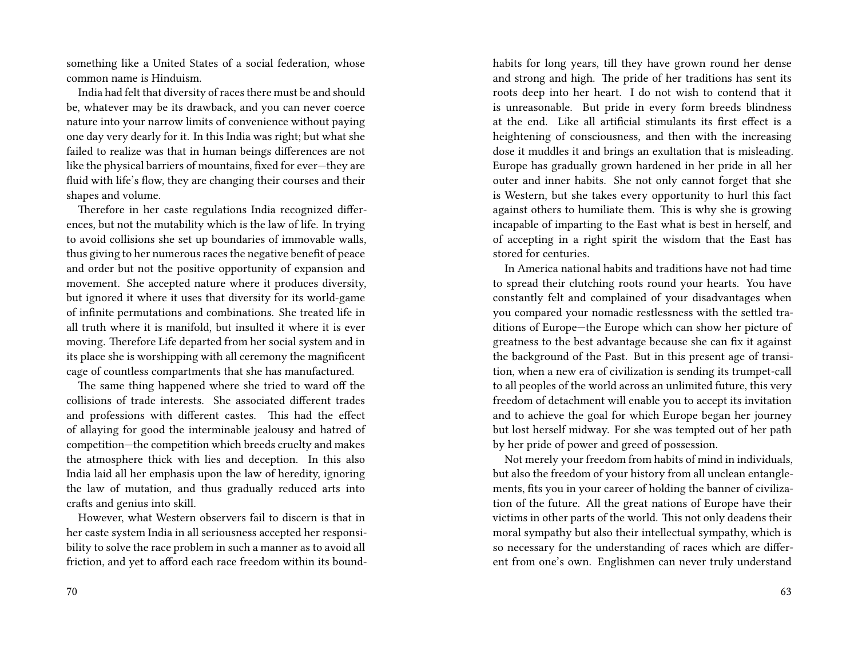something like a United States of a social federation, whose common name is Hinduism.

India had felt that diversity of races there must be and should be, whatever may be its drawback, and you can never coerce nature into your narrow limits of convenience without paying one day very dearly for it. In this India was right; but what she failed to realize was that in human beings differences are not like the physical barriers of mountains, fixed for ever—they are fluid with life's flow, they are changing their courses and their shapes and volume.

Therefore in her caste regulations India recognized differences, but not the mutability which is the law of life. In trying to avoid collisions she set up boundaries of immovable walls, thus giving to her numerous races the negative benefit of peace and order but not the positive opportunity of expansion and movement. She accepted nature where it produces diversity, but ignored it where it uses that diversity for its world-game of infinite permutations and combinations. She treated life in all truth where it is manifold, but insulted it where it is ever moving. Therefore Life departed from her social system and in its place she is worshipping with all ceremony the magnificent cage of countless compartments that she has manufactured.

The same thing happened where she tried to ward off the collisions of trade interests. She associated different trades and professions with different castes. This had the effect of allaying for good the interminable jealousy and hatred of competition—the competition which breeds cruelty and makes the atmosphere thick with lies and deception. In this also India laid all her emphasis upon the law of heredity, ignoring the law of mutation, and thus gradually reduced arts into crafts and genius into skill.

However, what Western observers fail to discern is that in her caste system India in all seriousness accepted her responsibility to solve the race problem in such a manner as to avoid all friction, and yet to afford each race freedom within its boundhabits for long years, till they have grown round her dense and strong and high. The pride of her traditions has sent its roots deep into her heart. I do not wish to contend that it is unreasonable. But pride in every form breeds blindness at the end. Like all artificial stimulants its first effect is a heightening of consciousness, and then with the increasing dose it muddles it and brings an exultation that is misleading. Europe has gradually grown hardened in her pride in all her outer and inner habits. She not only cannot forget that she is Western, but she takes every opportunity to hurl this fact against others to humiliate them. This is why she is growing incapable of imparting to the East what is best in herself, and of accepting in a right spirit the wisdom that the East has stored for centuries.

In America national habits and traditions have not had time to spread their clutching roots round your hearts. You have constantly felt and complained of your disadvantages when you compared your nomadic restlessness with the settled traditions of Europe—the Europe which can show her picture of greatness to the best advantage because she can fix it against the background of the Past. But in this present age of transition, when a new era of civilization is sending its trumpet-call to all peoples of the world across an unlimited future, this very freedom of detachment will enable you to accept its invitation and to achieve the goal for which Europe began her journey but lost herself midway. For she was tempted out of her path by her pride of power and greed of possession.

Not merely your freedom from habits of mind in individuals, but also the freedom of your history from all unclean entanglements, fits you in your career of holding the banner of civilization of the future. All the great nations of Europe have their victims in other parts of the world. This not only deadens their moral sympathy but also their intellectual sympathy, which is so necessary for the understanding of races which are different from one's own. Englishmen can never truly understand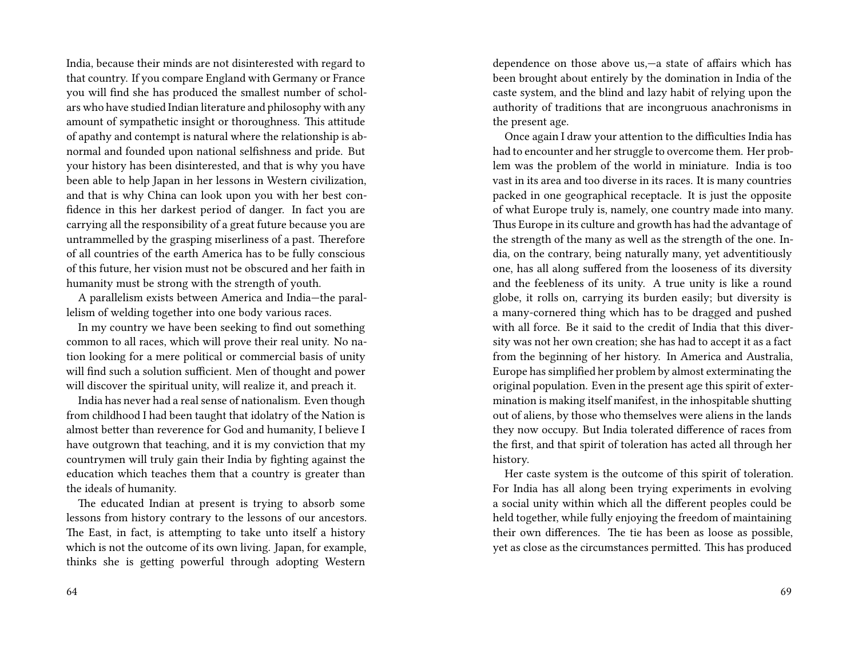India, because their minds are not disinterested with regard to that country. If you compare England with Germany or France you will find she has produced the smallest number of scholars who have studied Indian literature and philosophy with any amount of sympathetic insight or thoroughness. This attitude of apathy and contempt is natural where the relationship is abnormal and founded upon national selfishness and pride. But your history has been disinterested, and that is why you have been able to help Japan in her lessons in Western civilization, and that is why China can look upon you with her best confidence in this her darkest period of danger. In fact you are carrying all the responsibility of a great future because you are untrammelled by the grasping miserliness of a past. Therefore of all countries of the earth America has to be fully conscious of this future, her vision must not be obscured and her faith in humanity must be strong with the strength of youth.

A parallelism exists between America and India—the parallelism of welding together into one body various races.

In my country we have been seeking to find out something common to all races, which will prove their real unity. No nation looking for a mere political or commercial basis of unity will find such a solution sufficient. Men of thought and power will discover the spiritual unity, will realize it, and preach it.

India has never had a real sense of nationalism. Even though from childhood I had been taught that idolatry of the Nation is almost better than reverence for God and humanity, I believe I have outgrown that teaching, and it is my conviction that my countrymen will truly gain their India by fighting against the education which teaches them that a country is greater than the ideals of humanity.

The educated Indian at present is trying to absorb some lessons from history contrary to the lessons of our ancestors. The East, in fact, is attempting to take unto itself a history which is not the outcome of its own living. Japan, for example, thinks she is getting powerful through adopting Western

dependence on those above us,—a state of affairs which has been brought about entirely by the domination in India of the caste system, and the blind and lazy habit of relying upon the authority of traditions that are incongruous anachronisms in the present age.

Once again I draw your attention to the difficulties India has had to encounter and her struggle to overcome them. Her problem was the problem of the world in miniature. India is too vast in its area and too diverse in its races. It is many countries packed in one geographical receptacle. It is just the opposite of what Europe truly is, namely, one country made into many. Thus Europe in its culture and growth has had the advantage of the strength of the many as well as the strength of the one. India, on the contrary, being naturally many, yet adventitiously one, has all along suffered from the looseness of its diversity and the feebleness of its unity. A true unity is like a round globe, it rolls on, carrying its burden easily; but diversity is a many-cornered thing which has to be dragged and pushed with all force. Be it said to the credit of India that this diversity was not her own creation; she has had to accept it as a fact from the beginning of her history. In America and Australia, Europe has simplified her problem by almost exterminating the original population. Even in the present age this spirit of extermination is making itself manifest, in the inhospitable shutting out of aliens, by those who themselves were aliens in the lands they now occupy. But India tolerated difference of races from the first, and that spirit of toleration has acted all through her history.

Her caste system is the outcome of this spirit of toleration. For India has all along been trying experiments in evolving a social unity within which all the different peoples could be held together, while fully enjoying the freedom of maintaining their own differences. The tie has been as loose as possible, yet as close as the circumstances permitted. This has produced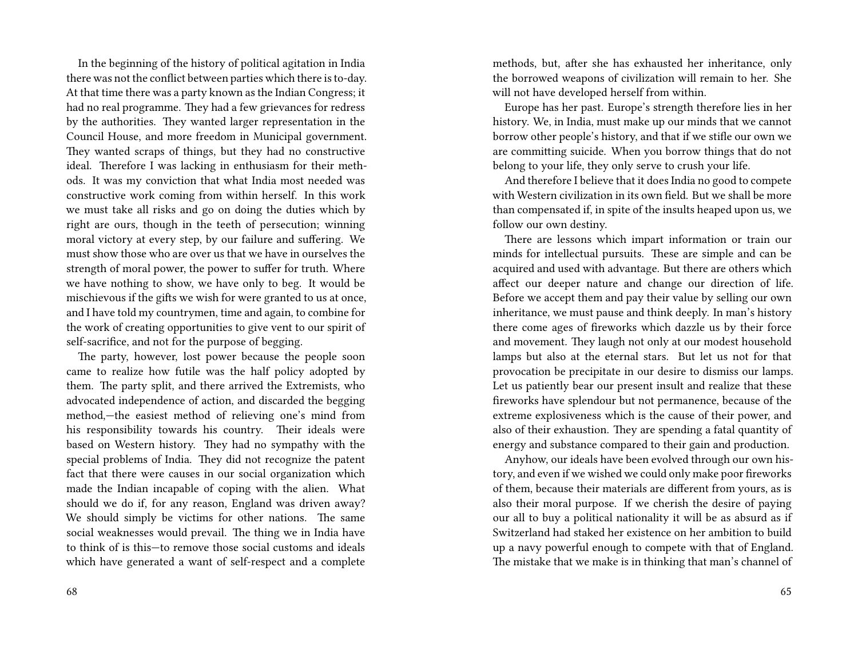In the beginning of the history of political agitation in India there was not the conflict between parties which there is to-day. At that time there was a party known as the Indian Congress; it had no real programme. They had a few grievances for redress by the authorities. They wanted larger representation in the Council House, and more freedom in Municipal government. They wanted scraps of things, but they had no constructive ideal. Therefore I was lacking in enthusiasm for their methods. It was my conviction that what India most needed was constructive work coming from within herself. In this work we must take all risks and go on doing the duties which by right are ours, though in the teeth of persecution; winning moral victory at every step, by our failure and suffering. We must show those who are over us that we have in ourselves the strength of moral power, the power to suffer for truth. Where we have nothing to show, we have only to beg. It would be mischievous if the gifts we wish for were granted to us at once, and I have told my countrymen, time and again, to combine for the work of creating opportunities to give vent to our spirit of self-sacrifice, and not for the purpose of begging.

The party, however, lost power because the people soon came to realize how futile was the half policy adopted by them. The party split, and there arrived the Extremists, who advocated independence of action, and discarded the begging method,—the easiest method of relieving one's mind from his responsibility towards his country. Their ideals were based on Western history. They had no sympathy with the special problems of India. They did not recognize the patent fact that there were causes in our social organization which made the Indian incapable of coping with the alien. What should we do if, for any reason, England was driven away? We should simply be victims for other nations. The same social weaknesses would prevail. The thing we in India have to think of is this—to remove those social customs and ideals which have generated a want of self-respect and a complete

methods, but, after she has exhausted her inheritance, only the borrowed weapons of civilization will remain to her. She will not have developed herself from within.

Europe has her past. Europe's strength therefore lies in her history. We, in India, must make up our minds that we cannot borrow other people's history, and that if we stifle our own we are committing suicide. When you borrow things that do not belong to your life, they only serve to crush your life.

And therefore I believe that it does India no good to compete with Western civilization in its own field. But we shall be more than compensated if, in spite of the insults heaped upon us, we follow our own destiny.

There are lessons which impart information or train our minds for intellectual pursuits. These are simple and can be acquired and used with advantage. But there are others which affect our deeper nature and change our direction of life. Before we accept them and pay their value by selling our own inheritance, we must pause and think deeply. In man's history there come ages of fireworks which dazzle us by their force and movement. They laugh not only at our modest household lamps but also at the eternal stars. But let us not for that provocation be precipitate in our desire to dismiss our lamps. Let us patiently bear our present insult and realize that these fireworks have splendour but not permanence, because of the extreme explosiveness which is the cause of their power, and also of their exhaustion. They are spending a fatal quantity of energy and substance compared to their gain and production.

Anyhow, our ideals have been evolved through our own history, and even if we wished we could only make poor fireworks of them, because their materials are different from yours, as is also their moral purpose. If we cherish the desire of paying our all to buy a political nationality it will be as absurd as if Switzerland had staked her existence on her ambition to build up a navy powerful enough to compete with that of England. The mistake that we make is in thinking that man's channel of